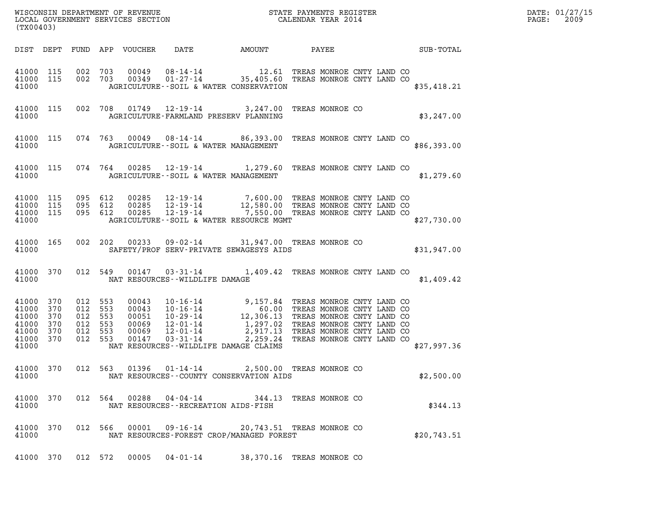| WISCONSIN DEPARTMENT OF REVENUE   | STATE PAYMENTS REGISTER | DATE: 01/27/15 |
|-----------------------------------|-------------------------|----------------|
| LOCAL GOVERNMENT SERVICES SECTION | CALENDAR YEAR 2014      | 2009<br>PAGE:  |

| (TX00403)                                                   |                                        |                                        |                                        |                                                    |                                                                                                          |                                                                                                                                                                                       |                                                                                                                                                                            |  |  |                  |  |
|-------------------------------------------------------------|----------------------------------------|----------------------------------------|----------------------------------------|----------------------------------------------------|----------------------------------------------------------------------------------------------------------|---------------------------------------------------------------------------------------------------------------------------------------------------------------------------------------|----------------------------------------------------------------------------------------------------------------------------------------------------------------------------|--|--|------------------|--|
| DIST                                                        | DEPT                                   | FUND                                   | APP                                    |                                                    |                                                                                                          | VOUCHER DATE AMOUNT PAYEE                                                                                                                                                             |                                                                                                                                                                            |  |  | <b>SUB-TOTAL</b> |  |
| 41000<br>41000<br>41000                                     | 115<br>115                             | 002<br>002                             | 703<br>703                             | 00049<br>00349                                     |                                                                                                          | 08-14-14 12.61 TREAS MONROE CNTY LAND CO 01-27-14 35,405.60 TREAS MONROE CNTY LAND CO<br>AGRICULTURE -- SOIL & WATER CONSERVATION                                                     |                                                                                                                                                                            |  |  | \$35,418.21      |  |
| 41000<br>41000                                              | 115                                    | 002                                    | 708                                    | 01749                                              |                                                                                                          | 12-19-14 3,247.00 TREAS MONROE CO<br>AGRICULTURE-FARMLAND PRESERV PLANNING                                                                                                            |                                                                                                                                                                            |  |  | \$3,247.00       |  |
| 41000<br>41000                                              | 115                                    | 074                                    | 763                                    |                                                    |                                                                                                          | 00049 08-14-14 86,393.00<br>AGRICULTURE--SOIL & WATER MANAGEMENT                                                                                                                      | TREAS MONROE CNTY LAND CO                                                                                                                                                  |  |  | \$86,393.00      |  |
| 41000<br>41000                                              | 115                                    | 074                                    | 764                                    | 00285                                              |                                                                                                          | $12 - 19 - 14$ 1, 279.60<br>AGRICULTURE--SOIL & WATER MANAGEMENT                                                                                                                      | TREAS MONROE CNTY LAND CO                                                                                                                                                  |  |  | \$1,279.60       |  |
| 41000<br>41000<br>41000<br>41000                            | 115<br>115<br>115                      | 095<br>095<br>095                      | 612<br>612<br>612                      | 00285<br>00285<br>00285                            | 12-19-14                                                                                                 | 12-19-14 7,600.00 TREAS MONROE CNTY LAND CO<br>12-19-14 12,580.00 TREAS MONROE CNTY LAND CO<br>12-19-14 7,550.00 TREAS MONROE CNTY LAND CO<br>AGRICULTURE--SOIL & WATER RESOURCE MGMT |                                                                                                                                                                            |  |  | \$27,730.00      |  |
| 41000<br>41000                                              | 165                                    | 002                                    | 202                                    | 00233                                              |                                                                                                          | 09-02-14 31,947.00 TREAS MONROE CO<br>SAFETY/PROF SERV-PRIVATE SEWAGESYS AIDS                                                                                                         |                                                                                                                                                                            |  |  | \$31,947.00      |  |
| 41000<br>41000                                              | 370                                    | 012                                    | 549                                    | 00147                                              | NAT RESOURCES - - WILDLIFE DAMAGE                                                                        | 03-31-14 1,409.42 TREAS MONROE CNTY LAND CO                                                                                                                                           |                                                                                                                                                                            |  |  | \$1,409.42       |  |
| 41000<br>41000<br>41000<br>41000<br>41000<br>41000<br>41000 | 370<br>370<br>370<br>370<br>370<br>370 | 012<br>012<br>012<br>012<br>012<br>012 | 553<br>553<br>553<br>553<br>553<br>553 | 00043<br>00043<br>00051<br>00069<br>00069<br>00147 | $10 - 16 - 14$<br>$10 - 16 - 14$<br>$10 - 29 - 14$<br>$12 - 01 - 14$<br>$12 - 01 - 14$<br>$03 - 31 - 14$ | 9,157.84<br>60.00<br>12, 306.13<br>1,297.02<br>2,917.13<br>2,259.24<br>NAT RESOURCES -- WILDLIFE DAMAGE CLAIMS                                                                        | TREAS MONROE CNTY LAND CO<br>TREAS MONROE CNTY LAND CO<br>TREAS MONROE CNTY LAND CO<br>TREAS MONROE CNTY LAND CO<br>TREAS MONROE CNTY LAND CO<br>TREAS MONROE CNTY LAND CO |  |  | \$27,997.36      |  |
| 41000<br>41000                                              | 370                                    | 012                                    | 563                                    | 01396                                              |                                                                                                          | 01-14-14 2,500.00 TREAS MONROE CO<br>NAT RESOURCES - COUNTY CONSERVATION AIDS                                                                                                         |                                                                                                                                                                            |  |  | \$2,500.00       |  |
| 41000<br>41000                                              | 370                                    | 012 564                                |                                        | 00288                                              | NAT RESOURCES - - RECREATION AIDS - FISH                                                                 | $04 - 04 - 14$ 344.13                                                                                                                                                                 | TREAS MONROE CO                                                                                                                                                            |  |  | \$344.13         |  |
| 41000<br>41000                                              | 370                                    | 012 566                                |                                        | 00001                                              | $09 - 16 - 14$                                                                                           | 20,743.51 TREAS MONROE CO<br>NAT RESOURCES-FOREST CROP/MANAGED FOREST                                                                                                                 |                                                                                                                                                                            |  |  | \$20,743.51      |  |
| 41000                                                       | 370                                    | 012 572                                |                                        | 00005                                              | $04 - 01 - 14$                                                                                           | 38,370.16 TREAS MONROE CO                                                                                                                                                             |                                                                                                                                                                            |  |  |                  |  |

LOCAL GOVERNMENT SERVICES SECTION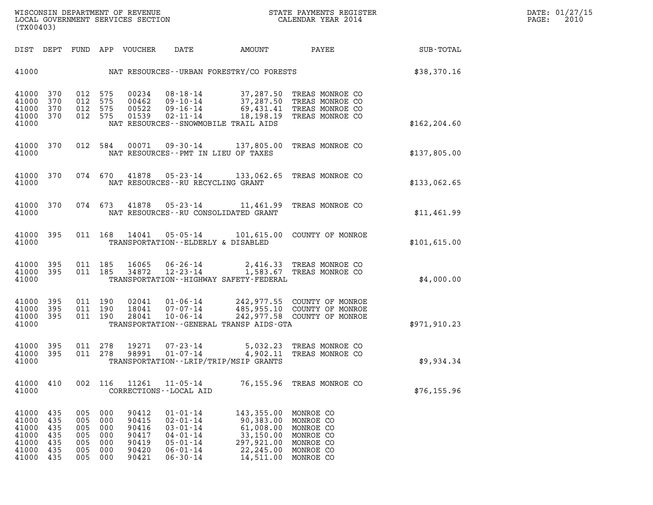| (TX00403)                                                   |                                               |                                               |                                               |                                                             |                                                                                                                            |                                                                                             |                                                                                         |               |
|-------------------------------------------------------------|-----------------------------------------------|-----------------------------------------------|-----------------------------------------------|-------------------------------------------------------------|----------------------------------------------------------------------------------------------------------------------------|---------------------------------------------------------------------------------------------|-----------------------------------------------------------------------------------------|---------------|
| DIST                                                        | DEPT                                          | FUND                                          | APP                                           | VOUCHER                                                     | DATE                                                                                                                       | AMOUNT                                                                                      | PAYEE                                                                                   | SUB-TOTAL     |
| 41000                                                       |                                               |                                               |                                               |                                                             |                                                                                                                            | NAT RESOURCES - - URBAN FORESTRY/CO FORESTS                                                 |                                                                                         | \$38,370.16   |
| 41000<br>41000<br>41000<br>41000<br>41000                   | 370<br>370<br>370<br>370                      | 012<br>012<br>012<br>012                      | 575<br>575<br>575<br>575                      | 00234<br>00462<br>00522<br>01539                            | $08 - 18 - 14$<br>$09 - 10 - 14$<br>$09 - 16 - 14$<br>$02 - 11 - 14$                                                       | 37,287.50<br>37,287.50<br>69,431.41<br>18,198.19<br>NAT RESOURCES - - SNOWMOBILE TRAIL AIDS | TREAS MONROE CO<br>TREAS MONROE CO<br>TREAS MONROE CO<br>TREAS MONROE CO                | \$162, 204.60 |
| 41000<br>41000                                              | 370                                           | 012                                           | 584                                           | 00071                                                       | $09 - 30 - 14$<br>NAT RESOURCES - PMT IN LIEU OF TAXES                                                                     | 137,805.00                                                                                  | TREAS MONROE CO                                                                         | \$137,805.00  |
| 41000<br>41000                                              | 370                                           | 074                                           | 670                                           | 41878                                                       | 05-23-14<br>NAT RESOURCES--RU RECYCLING GRANT                                                                              | 133,062.65                                                                                  | TREAS MONROE CO                                                                         | \$133,062.65  |
| 41000<br>41000                                              | 370                                           | 074                                           | 673                                           | 41878                                                       | $05 - 23 - 14$                                                                                                             | 11,461.99<br>NAT RESOURCES - - RU CONSOLIDATED GRANT                                        | TREAS MONROE CO                                                                         | \$11,461.99   |
| 41000<br>41000                                              | 395                                           | 011                                           | 168                                           | 14041                                                       | $05 - 05 - 14$<br>TRANSPORTATION--ELDERLY & DISABLED                                                                       | 101,615.00                                                                                  | COUNTY OF MONROE                                                                        | \$101,615.00  |
| 41000<br>41000<br>41000                                     | 395<br>395                                    | 011<br>011                                    | 185<br>185                                    | 16065<br>34872                                              | $06 - 26 - 14$<br>$12 - 23 - 14$                                                                                           | 2,416.33<br>1,583.67<br>TRANSPORTATION - - HIGHWAY SAFETY - FEDERAL                         | TREAS MONROE CO<br>TREAS MONROE CO                                                      | \$4,000.00    |
| 41000<br>41000<br>41000<br>41000                            | 395<br>395<br>395                             | 011<br>011<br>011                             | 190<br>190<br>190                             | 02041<br>18041<br>28041                                     | $01 - 06 - 14$<br>$07 - 07 - 14$<br>$10 - 06 - 14$                                                                         | 242,977.55<br>485,955.10<br>242,977.58<br>TRANSPORTATION--GENERAL TRANSP AIDS-GTA           | COUNTY OF MONROE<br>COUNTY OF MONROE<br>COUNTY OF MONROE                                | \$971,910.23  |
| 41000<br>41000<br>41000                                     | 395<br>395                                    | 011<br>011                                    | 278<br>278                                    | 19271<br>98991                                              | $07 - 23 - 14$<br>$01 - 07 - 14$                                                                                           | 5,032.23<br>4,902.11<br>TRANSPORTATION - - LRIP/TRIP/MSIP GRANTS                            | TREAS MONROE CO<br>TREAS MONROE CO                                                      | \$9,934.34    |
| 41000<br>41000                                              | 410                                           | 002                                           | 116                                           | 11261                                                       | $11 - 05 - 14$<br>CORRECTIONS - - LOCAL AID                                                                                | 76,155.96                                                                                   | TREAS MONROE CO                                                                         | \$76, 155.96  |
| 41000<br>41000<br>41000<br>41000<br>41000<br>41000<br>41000 | 435<br>435<br>435<br>435<br>435<br>435<br>435 | 005<br>005<br>005<br>005<br>005<br>005<br>005 | 000<br>000<br>000<br>000<br>000<br>000<br>000 | 90412<br>90415<br>90416<br>90417<br>90419<br>90420<br>90421 | $01 - 01 - 14$<br>$02 - 01 - 14$<br>$03 - 01 - 14$<br>$04 - 01 - 14$<br>$05 - 01 - 14$<br>$06 - 01 - 14$<br>$06 - 30 - 14$ | 143,355.00<br>90,383.00<br>61,008.00<br>33,150.00<br>297,921.00<br>22,245.00<br>14,511.00   | MONROE CO<br>MONROE CO<br>MONROE CO<br>MONROE CO<br>MONROE CO<br>MONROE CO<br>MONROE CO |               |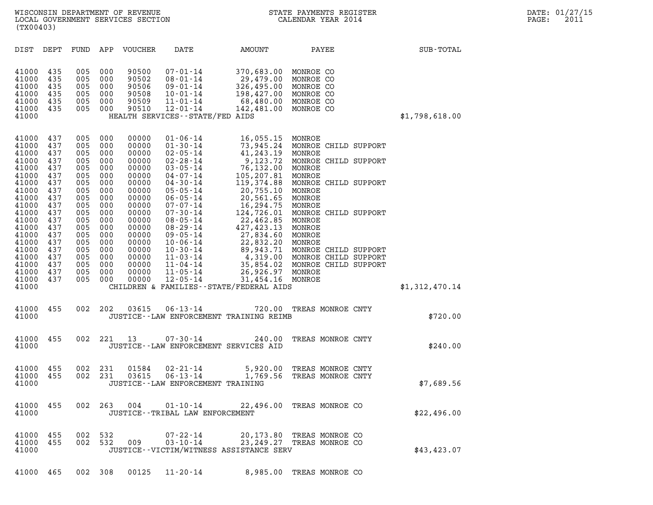| (TX00403)                                                                                                                                                                                                                                                                                                                             |                                                                                                                                          |                                                                                                                                                                                                                                                                                                                              |                                                                                                                                                                                                                                                                                                                                                                      |                                                                                                                                                                                                                                                                                    |                                                                                                                                                                                                                                                                                                                 |                |
|---------------------------------------------------------------------------------------------------------------------------------------------------------------------------------------------------------------------------------------------------------------------------------------------------------------------------------------|------------------------------------------------------------------------------------------------------------------------------------------|------------------------------------------------------------------------------------------------------------------------------------------------------------------------------------------------------------------------------------------------------------------------------------------------------------------------------|----------------------------------------------------------------------------------------------------------------------------------------------------------------------------------------------------------------------------------------------------------------------------------------------------------------------------------------------------------------------|------------------------------------------------------------------------------------------------------------------------------------------------------------------------------------------------------------------------------------------------------------------------------------|-----------------------------------------------------------------------------------------------------------------------------------------------------------------------------------------------------------------------------------------------------------------------------------------------------------------|----------------|
| DIST<br>DEPT                                                                                                                                                                                                                                                                                                                          | FUND                                                                                                                                     | APP<br>VOUCHER                                                                                                                                                                                                                                                                                                               | DATE                                                                                                                                                                                                                                                                                                                                                                 | AMOUNT                                                                                                                                                                                                                                                                             | PAYEE                                                                                                                                                                                                                                                                                                           | SUB-TOTAL      |
| 41000<br>435<br>41000<br>435<br>41000<br>435<br>41000<br>435<br>41000<br>435<br>41000<br>435<br>41000                                                                                                                                                                                                                                 | 005<br>005<br>005<br>005<br>005<br>005                                                                                                   | 000<br>90500<br>000<br>90502<br>000<br>90506<br>000<br>90508<br>90509<br>000<br>90510<br>000                                                                                                                                                                                                                                 | $07 - 01 - 14$<br>$08 - 01 - 14$<br>$09 - 01 - 14$<br>$10 - 01 - 14$<br>$11 - 01 - 14$<br>$12 - 01 - 14$<br>HEALTH SERVICES - - STATE/FED AIDS                                                                                                                                                                                                                       | 370,683.00<br>29,479.00<br>326,495.00<br>198,427.00<br>68,480.00<br>142,481.00                                                                                                                                                                                                     | MONROE CO<br>MONROE CO<br>MONROE CO<br>MONROE CO<br>MONROE CO<br>MONROE CO                                                                                                                                                                                                                                      | \$1,798,618.00 |
| 41000<br>437<br>41000<br>437<br>41000<br>437<br>41000<br>437<br>41000<br>437<br>41000<br>437<br>41000<br>437<br>41000<br>437<br>41000<br>437<br>41000<br>437<br>41000<br>437<br>41000<br>437<br>41000<br>437<br>41000<br>437<br>41000<br>437<br>41000<br>437<br>41000<br>437<br>41000<br>437<br>41000<br>437<br>41000<br>437<br>41000 | 005<br>005<br>005<br>005<br>005<br>005<br>005<br>005<br>005<br>005<br>005<br>005<br>005<br>005<br>005<br>005<br>005<br>005<br>005<br>005 | 000<br>00000<br>000<br>00000<br>000<br>00000<br>000<br>00000<br>000<br>00000<br>000<br>00000<br>000<br>00000<br>000<br>00000<br>000<br>00000<br>000<br>00000<br>000<br>00000<br>000<br>00000<br>000<br>00000<br>000<br>00000<br>000<br>00000<br>00000<br>000<br>000<br>00000<br>00000<br>000<br>00000<br>000<br>000<br>00000 | $01 - 06 - 14$<br>$01 - 30 - 14$<br>$02 - 05 - 14$<br>$02 - 28 - 14$<br>$03 - 05 - 14$<br>$04 - 07 - 14$<br>$04 - 30 - 14$<br>$05 - 05 - 14$<br>$06 - 05 - 14$<br>$07 - 07 - 14$<br>$07 - 30 - 14$<br>$08 - 05 - 14$<br>$08 - 29 - 14$<br>$09 - 05 - 14$<br>$10 - 06 - 14$<br>$10 - 30 - 14$<br>$11 - 03 - 14$<br>$11 - 04 - 14$<br>$11 - 05 - 14$<br>$12 - 05 - 14$ | 16,055.15 MONROE<br>41,243.19<br>9,123.72<br>76,132.00<br>105,207.81<br>119,374.88<br>20,755.10<br>20,561.65<br>16,294.75<br>124,726.01<br>22,462.85<br>427,423.13<br>27,834.60<br>22,832.20<br>26,926.97 MONROE<br>31,454.16 MONROE<br>CHILDREN & FAMILIES - - STATE/FEDERAL AIDS | 73,945.24 MONROE CHILD SUPPORT<br>MONROE<br>MONROE CHILD SUPPORT<br>MONROE<br>MONROE<br>MONROE CHILD SUPPORT<br>MONROE<br>MONROE<br>MONROE<br>MONROE CHILD SUPPORT<br>MONROE<br>MONROE<br>MONROE<br>MONROE<br>89,943.71 MONROE CHILD SUPPORT<br>4,319.00 MONROE CHILD SUPPORT<br>35,854.02 MONROE CHILD SUPPORT | \$1,312,470.14 |
| 455<br>41000<br>41000                                                                                                                                                                                                                                                                                                                 | 002                                                                                                                                      | 202<br>03615                                                                                                                                                                                                                                                                                                                 | $06 - 13 - 14$                                                                                                                                                                                                                                                                                                                                                       | 720.00<br>JUSTICE -- LAW ENFORCEMENT TRAINING REIMB                                                                                                                                                                                                                                | TREAS MONROE CNTY                                                                                                                                                                                                                                                                                               | \$720.00       |
| 455<br>41000<br>41000                                                                                                                                                                                                                                                                                                                 | 002                                                                                                                                      | 221<br>13                                                                                                                                                                                                                                                                                                                    | $07 - 30 - 14$<br>JUSTICE -- LAW ENFORCEMENT SERVICES AID                                                                                                                                                                                                                                                                                                            | 240.00                                                                                                                                                                                                                                                                             | TREAS MONROE CNTY                                                                                                                                                                                                                                                                                               | \$240.00       |
| 455<br>41000<br>41000<br>455<br>41000                                                                                                                                                                                                                                                                                                 | 002<br>002                                                                                                                               | 231<br>01584<br>231<br>03615                                                                                                                                                                                                                                                                                                 | $02 - 21 - 14$<br>$06 - 13 - 14$<br>JUSTICE - - LAW ENFORCEMENT TRAINING                                                                                                                                                                                                                                                                                             | 5,920.00<br>1,769.56                                                                                                                                                                                                                                                               | TREAS MONROE CNTY<br>TREAS MONROE CNTY                                                                                                                                                                                                                                                                          | \$7,689.56     |
| 41000<br>455<br>41000                                                                                                                                                                                                                                                                                                                 | 002                                                                                                                                      | 263<br>004                                                                                                                                                                                                                                                                                                                   | $01 - 10 - 14$<br>JUSTICE - - TRIBAL LAW ENFORCEMENT                                                                                                                                                                                                                                                                                                                 |                                                                                                                                                                                                                                                                                    | 22,496.00 TREAS MONROE CO                                                                                                                                                                                                                                                                                       | \$22,496.00    |
| 41000<br>455<br>41000<br>455<br>41000                                                                                                                                                                                                                                                                                                 | 002<br>002                                                                                                                               | 532<br>532<br>009                                                                                                                                                                                                                                                                                                            | $07 - 22 - 14$<br>$03 - 10 - 14$                                                                                                                                                                                                                                                                                                                                     | JUSTICE - - VICTIM/WITNESS ASSISTANCE SERV                                                                                                                                                                                                                                         | 20,173.80 TREAS MONROE CO<br>23, 249.27 TREAS MONROE CO                                                                                                                                                                                                                                                         | \$43,423.07    |

41000 465 002 308 00125 11-20-14 8,985.00 TREAS MONROE CO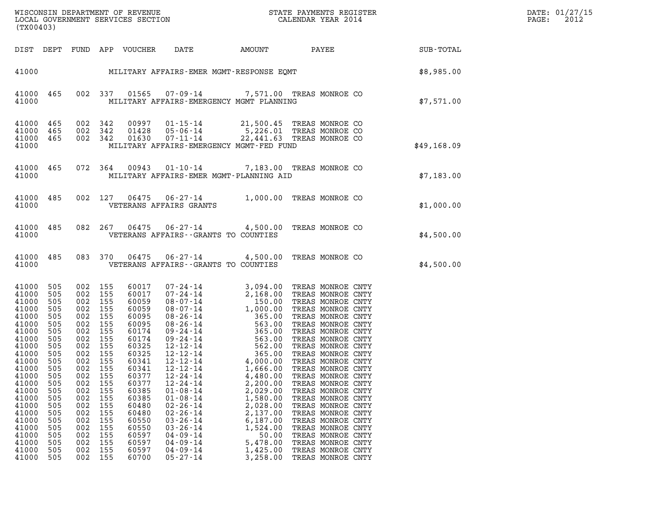| (TX00403)                                                                                                                                                                                                                |                                                                                                                                                               |                                                                                                                            |                                                                                                                                                                                              |                                                                                                                                                                                                                      |                                                                                                                                                                                                                                                                      |                                                                                                                                                                                      | WISCONSIN DEPARTMENT OF REVENUE<br>LOCAL GOVERNMENT SERVICES SECTION $\rm ^{2}$ CALENDAR YEAR 2014                                                                                                                                                                                                                             |             | DATE: 01/27/15<br>$\mathtt{PAGE}$ :<br>2012 |
|--------------------------------------------------------------------------------------------------------------------------------------------------------------------------------------------------------------------------|---------------------------------------------------------------------------------------------------------------------------------------------------------------|----------------------------------------------------------------------------------------------------------------------------|----------------------------------------------------------------------------------------------------------------------------------------------------------------------------------------------|----------------------------------------------------------------------------------------------------------------------------------------------------------------------------------------------------------------------|----------------------------------------------------------------------------------------------------------------------------------------------------------------------------------------------------------------------------------------------------------------------|--------------------------------------------------------------------------------------------------------------------------------------------------------------------------------------|--------------------------------------------------------------------------------------------------------------------------------------------------------------------------------------------------------------------------------------------------------------------------------------------------------------------------------|-------------|---------------------------------------------|
|                                                                                                                                                                                                                          |                                                                                                                                                               |                                                                                                                            |                                                                                                                                                                                              | DIST DEPT FUND APP VOUCHER DATE                                                                                                                                                                                      |                                                                                                                                                                                                                                                                      |                                                                                                                                                                                      | AMOUNT PAYEE SUB-TOTAL                                                                                                                                                                                                                                                                                                         |             |                                             |
|                                                                                                                                                                                                                          |                                                                                                                                                               |                                                                                                                            |                                                                                                                                                                                              |                                                                                                                                                                                                                      |                                                                                                                                                                                                                                                                      |                                                                                                                                                                                      | 41000 MILITARY AFFAIRS-EMER MGMT-RESPONSE EQMT SERIES (1985.00                                                                                                                                                                                                                                                                 |             |                                             |
| 41000                                                                                                                                                                                                                    | 41000 465                                                                                                                                                     |                                                                                                                            |                                                                                                                                                                                              |                                                                                                                                                                                                                      |                                                                                                                                                                                                                                                                      | 002 337 01565 07-09-14 7,571.00 TREAS MONROE CO<br>MILITARY AFFAIRS-EMERGENCY MGMT PLANNING                                                                                          |                                                                                                                                                                                                                                                                                                                                | \$7,571.00  |                                             |
| 41000<br>41000 465<br>41000 465<br>41000                                                                                                                                                                                 | 465                                                                                                                                                           |                                                                                                                            | 002 342<br>002 342<br>002 342                                                                                                                                                                |                                                                                                                                                                                                                      |                                                                                                                                                                                                                                                                      | 00997  01-15-14  21,500.45  TREAS MONROE CO<br>01428  05-06-14  5,226.01  TREAS MONROE CO<br>01630  07-11-14  22,441.63  TREAS MONROE CO<br>MILITARY AFFAIRS-EMERGENCY MGMT-FED FUND |                                                                                                                                                                                                                                                                                                                                | \$49,168.09 |                                             |
| 41000                                                                                                                                                                                                                    | 41000 465                                                                                                                                                     |                                                                                                                            |                                                                                                                                                                                              |                                                                                                                                                                                                                      |                                                                                                                                                                                                                                                                      | 072 364 00943 01-10-14 7,183.00 TREAS MONROE CO<br>MILITARY AFFAIRS-EMER MGMT-PLANNING AID                                                                                           |                                                                                                                                                                                                                                                                                                                                | \$7,183.00  |                                             |
| 41000                                                                                                                                                                                                                    | 41000 485                                                                                                                                                     |                                                                                                                            |                                                                                                                                                                                              |                                                                                                                                                                                                                      | VETERANS AFFAIRS GRANTS                                                                                                                                                                                                                                              | 002 127 06475 06-27-14 1,000.00 TREAS MONROE CO                                                                                                                                      |                                                                                                                                                                                                                                                                                                                                | \$1,000.00  |                                             |
| 41000                                                                                                                                                                                                                    | 41000 485                                                                                                                                                     |                                                                                                                            |                                                                                                                                                                                              |                                                                                                                                                                                                                      |                                                                                                                                                                                                                                                                      | 082  267  06475  06-27-14  4,500.00 TREAS MONROE CO<br>VETERANS AFFAIRS -- GRANTS TO COUNTIES                                                                                        |                                                                                                                                                                                                                                                                                                                                | \$4,500.00  |                                             |
| 41000                                                                                                                                                                                                                    | 41000 485                                                                                                                                                     |                                                                                                                            | 083 370                                                                                                                                                                                      |                                                                                                                                                                                                                      |                                                                                                                                                                                                                                                                      | 06475  06-27-14  4,500.00 TREAS MONROE CO<br>VETERANS AFFAIRS -- GRANTS TO COUNTIES                                                                                                  |                                                                                                                                                                                                                                                                                                                                | \$4,500.00  |                                             |
| 41000<br>41000<br>41000<br>41000<br>41000<br>41000<br>41000<br>41000<br>41000<br>41000 505<br>41000<br>41000<br>41000<br>41000<br>41000<br>41000<br>41000<br>41000<br>41000<br>41000<br>41000<br>41000<br>41000<br>41000 | 505<br>505<br>505<br>505<br>505<br>505<br>505<br>505<br>505<br>505<br>505<br>505<br>505<br>505<br>505<br>505<br>505<br>505<br>505<br>505<br>505<br>505<br>505 | 002<br>002<br>002<br>002<br>002<br>002<br>002<br>002<br>002<br>002<br>002<br>002<br>002<br>002<br>002<br>002<br>002<br>002 | 002 155<br>002 155<br>155<br>155<br>155<br>002 155<br>155<br>002 155<br>002 155<br>002 155<br>155<br>155<br>155<br>155<br>155<br>155<br>155<br>155<br>155<br>155<br>155<br>155<br>155<br>155 | 60017<br>60017<br>60059<br>60059<br>60095<br>60095<br>60174<br>60174<br>60325<br>60325<br>60341<br>60341<br>60377<br>60377<br>60385<br>60385<br>60480<br>60480<br>60550<br>60550<br>60597<br>60597<br>60597<br>60700 | 12-12-14<br>$12 - 12 - 14$<br>$12 - 12 - 14$<br>$12 - 24 - 14$<br>$12 - 24 - 14$<br>$01 - 08 - 14$<br>$01 - 08 - 14$<br>$02 - 26 - 14$<br>$02 - 26 - 14$<br>$03 - 26 - 14$<br>$03 - 26 - 14$<br>$04 - 09 - 14$<br>$04 - 09 - 14$<br>$04 - 09 - 14$<br>$05 - 27 - 14$ | 4,000.00<br>1,666.00<br>4,480.00<br>2,200.00<br>2,029.00<br>1,580.00<br>2,028.00<br>2,137.00<br>6,187.00<br>1,524.00<br>50.00<br>5,478.00<br>1,425.00<br>3,258.00                    | 365.00 TREAS MONROE CNTY<br>TREAS MONROE CNTY<br>TREAS MONROE CNTY<br>TREAS MONROE CNTY<br>TREAS MONROE CNTY<br>TREAS MONROE CNTY<br>TREAS MONROE CNTY<br>TREAS MONROE CNTY<br>TREAS MONROE CNTY<br>TREAS MONROE CNTY<br>TREAS MONROE CNTY<br>TREAS MONROE CNTY<br>TREAS MONROE CNTY<br>TREAS MONROE CNTY<br>TREAS MONROE CNTY |             |                                             |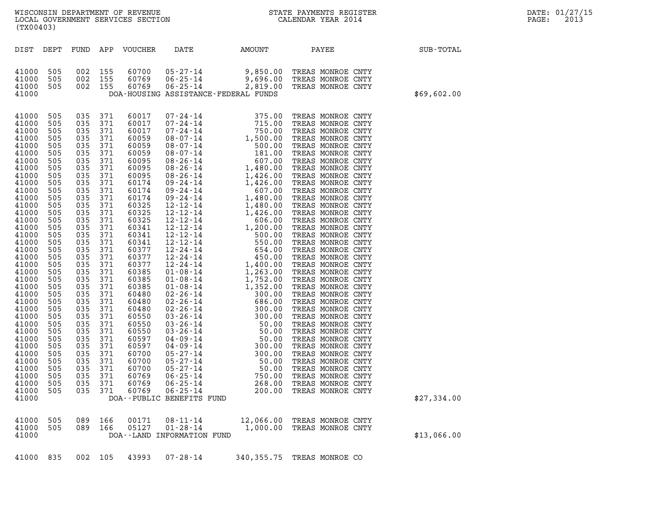| DIST DEPT<br>FUND APP VOUCHER<br>DATE<br>AMOUNT<br>PAYEE<br>SUB-TOTAL<br>002 155<br>05-27-14<br>505<br>60700<br>9,850.00<br>TREAS MONROE CNTY<br>9,696.00<br>002 155<br>60769<br>$06 - 25 - 14$<br>505<br>TREAS MONROE CNTY<br>002 155<br>60769<br>06-25-14<br>2,819.00<br>505<br>TREAS MONROE CNTY<br>DOA-HOUSING ASSISTANCE-FEDERAL FUNDS<br>\$69,602.00<br>035 371<br>505<br>60017<br>07-24-14<br>375.00<br>TREAS MONROE CNTY<br>07-24-14<br>715.00<br>505<br>035<br>371<br>60017<br>TREAS MONROE CNTY<br>750.00<br>505<br>035<br>371<br>60017<br>07-24-14<br>TREAS MONROE CNTY<br>1,500.00<br>035<br>371<br>60059<br>08-07-14<br>TREAS MONROE CNTY<br>505<br>371<br>500.00<br>505<br>035<br>60059<br>08-07-14<br>TREAS MONROE CNTY<br>181.00<br>505<br>035<br>371<br>60059<br>08-07-14<br>TREAS MONROE CNTY<br>60095<br>08-26-14<br>607.00<br>505<br>035<br>371<br>TREAS MONROE CNTY<br>1,480.00<br>505<br>035<br>371<br>60095<br>08-26-14<br>TREAS MONROE CNTY<br>371<br>1,426.00<br>505<br>035<br>60095<br>08-26-14<br>TREAS MONROE CNTY<br>1,426.00<br>505<br>035<br>371<br>60174<br>09 - 24 - 14<br>TREAS MONROE CNTY<br>607.00<br>505<br>035<br>371<br>60174<br>09 - 24 - 14<br>TREAS MONROE CNTY<br>09-24-14<br>1,480.00<br>505<br>035<br>371<br>60174<br>TREAS MONROE CNTY<br>371<br>505<br>035<br>60325<br>12-12-14<br>1,480.00<br>TREAS MONROE CNTY<br>12-12-14<br>505<br>035<br>371<br>60325<br>1,426.00<br>TREAS MONROE CNTY<br>60325<br>12-12-14<br>606.00<br>505<br>035<br>371<br>TREAS MONROE CNTY<br>12-12-14<br>1,200.00<br>505<br>035<br>371<br>60341<br>TREAS MONROE CNTY<br>371<br>12-12-14<br>500.00<br>505<br>035<br>60341<br>TREAS MONROE CNTY<br>12-12-14<br>550.00<br>505<br>035<br>371<br>60341<br>TREAS MONROE CNTY<br>12-24-14<br>654.00<br>505<br>035<br>371<br>60377<br>TREAS MONROE CNTY<br>12-24-14<br>450.00<br>505<br>035<br>371<br>60377<br>TREAS MONROE CNTY<br>371<br>12-24-14<br>1,400.00<br>505<br>035<br>60377<br>TREAS MONROE CNTY<br>1,263.00<br>505<br>035<br>371<br>60385<br>01-08-14<br>TREAS MONROE CNTY<br>1,752.00<br>505<br>035<br>371<br>60385<br>$01 - 08 - 14$<br>TREAS MONROE CNTY<br>1,352.00<br>505<br>035<br>371<br>60385<br>$01 - 08 - 14$<br>TREAS MONROE CNTY<br>371<br>300.00<br>505<br>035<br>60480<br>02-26-14<br>TREAS MONROE CNTY<br>686.00<br>505<br>035<br>371<br>60480<br>$02 - 26 - 14$<br>TREAS MONROE CNTY<br>300.00<br>505<br>035<br>371<br>60480<br>$02 - 26 - 14$<br>TREAS MONROE CNTY<br>300.00<br>035<br>371<br>60550<br>$03 - 26 - 14$<br>TREAS MONROE CNTY<br>505<br>50.00<br>505<br>035<br>371<br>60550<br>$03 - 26 - 14$<br>TREAS MONROE CNTY<br>50.00<br>505<br>035<br>371<br>60550<br>$03 - 26 - 14$<br>TREAS MONROE CNTY<br>371<br>50.00<br>505<br>035<br>60597<br>04-09-14<br>TREAS MONROE CNTY<br>$04 - 09 - 14$<br>300.00<br>505<br>035<br>371<br>60597<br>TREAS MONROE CNTY<br>$05 - 27 - 14$<br>300.00<br>505<br>035 371<br>60700<br>TREAS MONROE CNTY<br>371<br>60700<br>$05 - 27 - 14$<br>50.00<br>TREAS MONROE CNTY<br>035<br>505<br>$05 - 27 - 14$<br>505<br>035<br>371<br>60700<br>50.00<br>TREAS MONROE CNTY<br>$06 - 25 - 14$<br>035<br>371<br>60769<br>750.00<br>TREAS MONROE CNTY<br>505<br>$06 - 25 - 14$<br>505<br>035<br>371<br>60769<br>268.00<br>TREAS MONROE CNTY<br>$06 - 25 - 14$<br>505<br>035<br>371<br>60769<br>200.00<br>TREAS MONROE CNTY<br>\$27,334.00<br>DOA--PUBLIC BENEFITS FUND<br>089<br>166<br>00171<br>$08 - 11 - 14$<br>12,066.00<br>TREAS MONROE CNTY<br>505<br>505<br>089<br>166<br>05127<br>$01 - 28 - 14$<br>1,000.00<br>TREAS MONROE CNTY<br>DOA--LAND INFORMATION FUND<br>\$13,066.00 | (TX00403) |  | WISCONSIN DEPARTMENT OF REVENUE<br>LOCAL GOVERNMENT SERVICES SECTION | $\mathbf N$ | STATE PAYMENTS REGISTER<br>CALENDAR YEAR 2014 | DATE: 01/27/15<br>PAGE:<br>2013 |
|-----------------------------------------------------------------------------------------------------------------------------------------------------------------------------------------------------------------------------------------------------------------------------------------------------------------------------------------------------------------------------------------------------------------------------------------------------------------------------------------------------------------------------------------------------------------------------------------------------------------------------------------------------------------------------------------------------------------------------------------------------------------------------------------------------------------------------------------------------------------------------------------------------------------------------------------------------------------------------------------------------------------------------------------------------------------------------------------------------------------------------------------------------------------------------------------------------------------------------------------------------------------------------------------------------------------------------------------------------------------------------------------------------------------------------------------------------------------------------------------------------------------------------------------------------------------------------------------------------------------------------------------------------------------------------------------------------------------------------------------------------------------------------------------------------------------------------------------------------------------------------------------------------------------------------------------------------------------------------------------------------------------------------------------------------------------------------------------------------------------------------------------------------------------------------------------------------------------------------------------------------------------------------------------------------------------------------------------------------------------------------------------------------------------------------------------------------------------------------------------------------------------------------------------------------------------------------------------------------------------------------------------------------------------------------------------------------------------------------------------------------------------------------------------------------------------------------------------------------------------------------------------------------------------------------------------------------------------------------------------------------------------------------------------------------------------------------------------------------------------------------------------------------------------------------------------------------------------------------------------------------------------------------------------------------------------------------------------------------------------------------------------------------------------------------------------------------------------------------------------------------------------------------------------------------------------------------------------------------------------------|-----------|--|----------------------------------------------------------------------|-------------|-----------------------------------------------|---------------------------------|
| 41000<br>41000<br>41000<br>41000<br>41000<br>41000<br>41000<br>41000<br>41000<br>41000<br>41000<br>41000<br>41000<br>41000<br>41000<br>41000<br>41000<br>41000<br>41000<br>41000<br>41000<br>41000<br>41000<br>41000<br>41000<br>41000<br>41000<br>41000<br>41000<br>41000<br>41000<br>41000<br>41000<br>41000<br>41000<br>41000<br>41000<br>41000<br>41000<br>41000<br>41000<br>41000<br>41000<br>41000<br>41000<br>41000                                                                                                                                                                                                                                                                                                                                                                                                                                                                                                                                                                                                                                                                                                                                                                                                                                                                                                                                                                                                                                                                                                                                                                                                                                                                                                                                                                                                                                                                                                                                                                                                                                                                                                                                                                                                                                                                                                                                                                                                                                                                                                                                                                                                                                                                                                                                                                                                                                                                                                                                                                                                                                                                                                                                                                                                                                                                                                                                                                                                                                                                                                                                                                                            |           |  |                                                                      |             |                                               |                                 |
|                                                                                                                                                                                                                                                                                                                                                                                                                                                                                                                                                                                                                                                                                                                                                                                                                                                                                                                                                                                                                                                                                                                                                                                                                                                                                                                                                                                                                                                                                                                                                                                                                                                                                                                                                                                                                                                                                                                                                                                                                                                                                                                                                                                                                                                                                                                                                                                                                                                                                                                                                                                                                                                                                                                                                                                                                                                                                                                                                                                                                                                                                                                                                                                                                                                                                                                                                                                                                                                                                                                                                                                                                       |           |  |                                                                      |             |                                               |                                 |
|                                                                                                                                                                                                                                                                                                                                                                                                                                                                                                                                                                                                                                                                                                                                                                                                                                                                                                                                                                                                                                                                                                                                                                                                                                                                                                                                                                                                                                                                                                                                                                                                                                                                                                                                                                                                                                                                                                                                                                                                                                                                                                                                                                                                                                                                                                                                                                                                                                                                                                                                                                                                                                                                                                                                                                                                                                                                                                                                                                                                                                                                                                                                                                                                                                                                                                                                                                                                                                                                                                                                                                                                                       |           |  |                                                                      |             |                                               |                                 |
|                                                                                                                                                                                                                                                                                                                                                                                                                                                                                                                                                                                                                                                                                                                                                                                                                                                                                                                                                                                                                                                                                                                                                                                                                                                                                                                                                                                                                                                                                                                                                                                                                                                                                                                                                                                                                                                                                                                                                                                                                                                                                                                                                                                                                                                                                                                                                                                                                                                                                                                                                                                                                                                                                                                                                                                                                                                                                                                                                                                                                                                                                                                                                                                                                                                                                                                                                                                                                                                                                                                                                                                                                       |           |  |                                                                      |             |                                               |                                 |

41000 835 002 105 43993 07-28-14 340,355.75 TREAS MONROE CO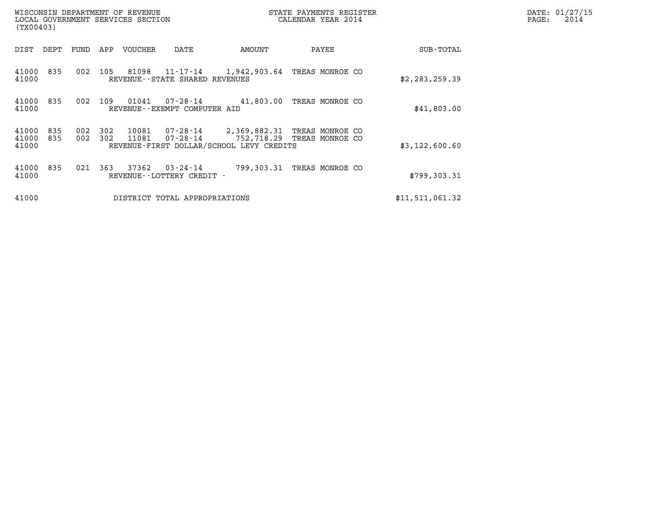| (TX00403)               |            |            |            | WISCONSIN DEPARTMENT OF REVENUE<br>LOCAL GOVERNMENT SERVICES SECTION |                                             |                                                                                                                 | STATE PAYMENTS REGISTER<br>CALENDAR YEAR 2014 |                 | DATE: 01/27/15<br>PAGE:<br>2014 |
|-------------------------|------------|------------|------------|----------------------------------------------------------------------|---------------------------------------------|-----------------------------------------------------------------------------------------------------------------|-----------------------------------------------|-----------------|---------------------------------|
| DIST DEPT               |            | FUND       | APP        | VOUCHER                                                              | DATE                                        | AMOUNT                                                                                                          | PAYEE                                         | SUB-TOTAL       |                                 |
| 41000<br>41000          | 835        | 002        | 105        |                                                                      | REVENUE - - STATE SHARED REVENUES           | 81098  11-17-14  1,942,903.64 TREAS MONROE CO                                                                   |                                               | \$2,283,259.39  |                                 |
| 41000<br>41000          | 835        |            | 002 109    |                                                                      | REVENUE--EXEMPT COMPUTER AID                |                                                                                                                 | 41,803.00 TREAS MONROE CO                     | \$41,803.00     |                                 |
| 41000<br>41000<br>41000 | 835<br>835 | 002<br>002 | 302<br>302 | 10081<br>11081                                                       | 07-28-14                                    | 07-28-14 2,369,882.31 TREAS MONROE CO<br>752,718.29 TREAS MONROE CO<br>REVENUE-FIRST DOLLAR/SCHOOL LEVY CREDITS |                                               | \$3,122,600.60  |                                 |
| 41000<br>41000          | 835        |            | 021 363    |                                                                      | 37362 03-24-14<br>REVENUE--LOTTERY CREDIT - |                                                                                                                 | 799,303.31 TREAS MONROE CO                    | \$799, 303.31   |                                 |
| 41000                   |            |            |            |                                                                      | DISTRICT TOTAL APPROPRIATIONS               |                                                                                                                 |                                               | \$11,511,061.32 |                                 |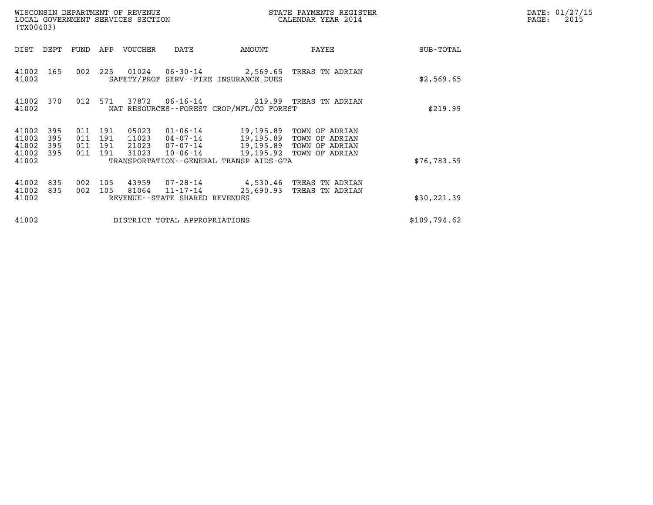| (TX00403)                        |                          |                          |                          | WISCONSIN DEPARTMENT OF REVENUE<br>LOCAL GOVERNMENT SERVICES SECTION |                                                                 |                                                                                           | STATE PAYMENTS REGISTER<br>CALENDAR YEAR 2014 |              | DATE: 01/27/15<br>$\mathtt{PAGE:}$<br>2015 |
|----------------------------------|--------------------------|--------------------------|--------------------------|----------------------------------------------------------------------|-----------------------------------------------------------------|-------------------------------------------------------------------------------------------|-----------------------------------------------|--------------|--------------------------------------------|
| DIST                             | DEPT                     | FUND                     |                          | APP VOUCHER                                                          | DATE                                                            | AMOUNT                                                                                    | PAYEE                                         | SUB-TOTAL    |                                            |
| 41002 165<br>41002               |                          | 002                      | 225                      |                                                                      |                                                                 | SAFETY/PROF SERV--FIRE INSURANCE DUES                                                     | 01024  06-30-14  2,569.65  TREAS TN ADRIAN    | \$2,569.65   |                                            |
| 41002<br>41002                   | 370                      | 012                      | 571                      | 37872                                                                | $06 - 16 - 14$                                                  | NAT RESOURCES--FOREST CROP/MFL/CO FOREST                                                  | 219.99 TREAS TN ADRIAN                        | \$219.99     |                                            |
| 41002<br>41002<br>41002<br>41002 | 395<br>395<br>395<br>395 | 011<br>011<br>011<br>011 | 191<br>191<br>191<br>191 | 05023<br>11023<br>21023<br>31023                                     | 01-06-14<br>04-07-14<br>10-06-14                                | 19,195.89 TOWN OF ADRIAN<br>19,195.89 TOWN OF ADRIAN<br>07-07-14 19,195.89 TOWN OF ADRIAN | 19,195.92 TOWN OF ADRIAN                      |              |                                            |
| 41002                            |                          |                          |                          |                                                                      |                                                                 | TRANSPORTATION--GENERAL TRANSP AIDS-GTA                                                   |                                               | \$76,783.59  |                                            |
| 41002<br>41002<br>41002          | 835<br>835               | 002<br>002               | 105<br>105               | 81064                                                                | 43959 07-28-14<br>11-17-14<br>REVENUE - - STATE SHARED REVENUES | 25,690.93                                                                                 | 4,530.46 TREAS TN ADRIAN<br>TREAS TN ADRIAN   | \$30, 221.39 |                                            |
| 41002                            |                          |                          |                          |                                                                      | DISTRICT TOTAL APPROPRIATIONS                                   |                                                                                           |                                               | \$109,794.62 |                                            |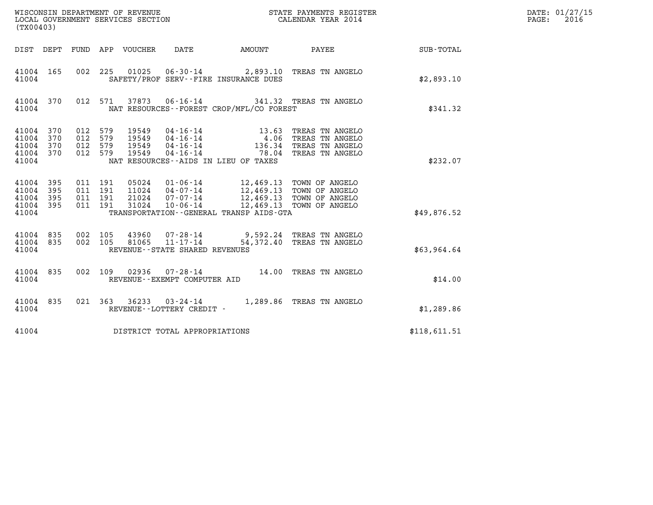| (TX00403)                                 |                          |                                          |         |                                  | WISCONSIN DEPARTMENT OF REVENUE<br>LOCAL GOVERNMENT SERVICES SECTION |                                                                                                                                       | STATE PAYMENTS REGISTER<br>CALENDAR YEAR 2014                                                                                                    |              | DATE: 01/27/15<br>$\mathtt{PAGE:}$<br>2016 |
|-------------------------------------------|--------------------------|------------------------------------------|---------|----------------------------------|----------------------------------------------------------------------|---------------------------------------------------------------------------------------------------------------------------------------|--------------------------------------------------------------------------------------------------------------------------------------------------|--------------|--------------------------------------------|
|                                           |                          |                                          |         | DIST DEPT FUND APP VOUCHER       | DATE                                                                 | AMOUNT PAYEE                                                                                                                          |                                                                                                                                                  | SUB-TOTAL    |                                            |
| 41004 165<br>41004                        |                          | 002 225                                  |         | 01025                            |                                                                      | SAFETY/PROF SERV--FIRE INSURANCE DUES                                                                                                 | 06-30-14 2,893.10 TREAS TN ANGELO                                                                                                                | \$2,893.10   |                                            |
| 41004 370<br>41004                        |                          |                                          | 012 571 |                                  |                                                                      | NAT RESOURCES--FOREST CROP/MFL/CO FOREST                                                                                              | 37873  06-16-14  341.32  TREAS TN ANGELO                                                                                                         | \$341.32     |                                            |
| 41004<br>41004<br>41004<br>41004<br>41004 | 370<br>370<br>370<br>370 | 012 579<br>012 579<br>012 579<br>012 579 |         | 19549<br>19549<br>19549<br>19549 |                                                                      | 04 - 16 - 14 13 - 63<br>04 - 16 - 14 13 - 63<br>04 - 16 - 14 136 - 34<br>04 - 16 - 14 78 - 04<br>NAT RESOURCES--AIDS IN LIEU OF TAXES | TREAS TN ANGELO<br>4.06 TREAS TN ANGELO<br>136.34 TREAS TN ANGELO<br>78.04 TREAS TN ANGELO                                                       | \$232.07     |                                            |
| 41004<br>41004<br>41004<br>41004<br>41004 | 395<br>395<br>395<br>395 | 011 191<br>011 191<br>011 191<br>011 191 |         | 05024<br>11024<br>21024<br>31024 |                                                                      | TRANSPORTATION--GENERAL TRANSP AIDS-GTA                                                                                               | 01-06-14 12,469.13 TOWN OF ANGELO<br>04-07-14 12,469.13 TOWN OF ANGELO<br>07-07-14 12,469.13 TOWN OF ANGELO<br>10-06-14 12,469.13 TOWN OF ANGELO | \$49,876.52  |                                            |
| 41004<br>41004 835<br>41004               | 835                      | 002 105<br>002 105                       |         | 43960<br>81065                   | $11 - 17 - 14$<br>REVENUE--STATE SHARED REVENUES                     |                                                                                                                                       | 07-28-14 9,592.24 TREAS TN ANGELO<br>54,372.40 TREAS TN ANGELO                                                                                   | \$63,964.64  |                                            |
| 41004 835<br>41004                        |                          |                                          |         |                                  | REVENUE--EXEMPT COMPUTER AID                                         |                                                                                                                                       | 002  109  02936  07-28-14  14.00  TREAS TN ANGELO                                                                                                | \$14.00      |                                            |
| 41004 835<br>41004                        |                          |                                          | 021 363 |                                  | REVENUE--LOTTERY CREDIT -                                            |                                                                                                                                       | 36233 03-24-14 1,289.86 TREAS TN ANGELO                                                                                                          | \$1,289.86   |                                            |
| 41004                                     |                          |                                          |         |                                  | DISTRICT TOTAL APPROPRIATIONS                                        |                                                                                                                                       |                                                                                                                                                  | \$118,611.51 |                                            |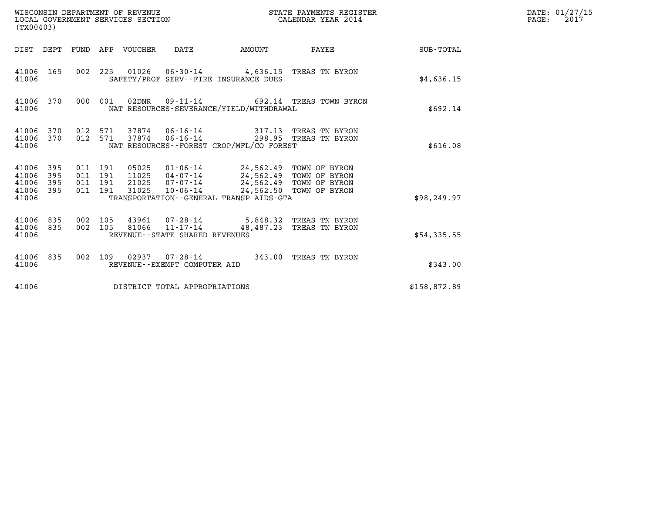| (TX00403)                                     |                   |                                      |     | WISCONSIN DEPARTMENT OF REVENUE<br>LOCAL GOVERNMENT SERVICES SECTION |                                |                                                                                                                                            | STATE PAYMENTS REGISTER<br>CALENDAR YEAR 2014 |              | DATE: 01/27/15<br>$\mathtt{PAGE}$ :<br>2017 |
|-----------------------------------------------|-------------------|--------------------------------------|-----|----------------------------------------------------------------------|--------------------------------|--------------------------------------------------------------------------------------------------------------------------------------------|-----------------------------------------------|--------------|---------------------------------------------|
|                                               |                   |                                      |     | DIST DEPT FUND APP VOUCHER                                           | DATE                           | AMOUNT                                                                                                                                     | PAYEE                                         | SUB-TOTAL    |                                             |
| 41006 165<br>41006                            |                   |                                      |     |                                                                      |                                | 002 225 01026 06-30-14 4,636.15 TREAS TN BYRON<br>SAFETY/PROF SERV--FIRE INSURANCE DUES                                                    |                                               | \$4,636.15   |                                             |
| 41006 370<br>41006                            |                   | 000 001                              |     |                                                                      |                                | NAT RESOURCES-SEVERANCE/YIELD/WITHDRAWAL                                                                                                   | 692.14 TREAS TOWN BYRON                       | \$692.14     |                                             |
| 41006<br>41006 370<br>41006                   | 370               | 012 571<br>012 571                   |     |                                                                      | 37874 06-16-14                 | 37874  06-16-14  298.95  TREAS TN BYRON<br>NAT RESOURCES - - FOREST CROP/MFL/CO FOREST                                                     | 317.13 TREAS TN BYRON                         | \$616.08     |                                             |
| 41006 395<br>41006<br>41006<br>41006<br>41006 | 395<br>395<br>395 | 011 191<br>011 191<br>011<br>011 191 | 191 | 05025<br>11025<br>21025<br>31025                                     | $07 - 07 - 14$<br>10-06-14     | 01-06-14 24,562.49 TOWN OF BYRON<br>04-07-14 24,562.49 TOWN OF BYRON<br>24,562.49 TOWN OF BYRON<br>TRANSPORTATION--GENERAL TRANSP AIDS-GTA | 24,562.50 TOWN OF BYRON                       | \$98, 249.97 |                                             |
| 41006<br>41006 835<br>41006                   | 835               | 002 105<br>002 105                   |     |                                                                      | REVENUE--STATE SHARED REVENUES | 43961  07-28-14  5,848.32  TREAS TN BYRON<br>81066  11-17-14  48,487.23  TREAS  TN BYRON                                                   |                                               | \$54,335.55  |                                             |
| 41006 835<br>41006                            |                   | 002 109                              |     |                                                                      | REVENUE--EXEMPT COMPUTER AID   | 02937  07-28-14  343.00 TREAS TN BYRON                                                                                                     |                                               | \$343.00     |                                             |
| 41006                                         |                   |                                      |     |                                                                      | DISTRICT TOTAL APPROPRIATIONS  |                                                                                                                                            |                                               | \$158,872.89 |                                             |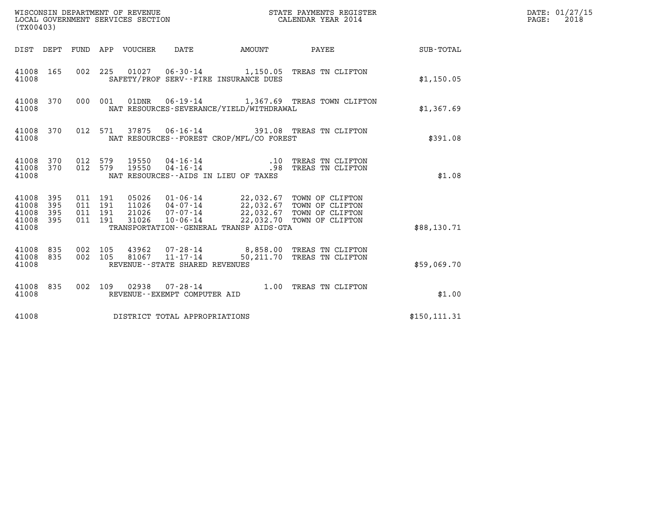| (TX00403)                                 |                          |                                          |       | WISCONSIN DEPARTMENT OF REVENUE<br>LOCAL GOVERNMENT SERVICES SECTION |                                              | STATE PAYMENTS REGISTER<br>CALENDAR YEAR 2014                                                                                                                          |               | DATE: 01/27/15<br>$\mathtt{PAGE:}$<br>2018 |
|-------------------------------------------|--------------------------|------------------------------------------|-------|----------------------------------------------------------------------|----------------------------------------------|------------------------------------------------------------------------------------------------------------------------------------------------------------------------|---------------|--------------------------------------------|
|                                           |                          |                                          |       |                                                                      |                                              | DIST DEPT FUND APP VOUCHER DATE AMOUNT PAYEE TO SUB-TOTAL                                                                                                              |               |                                            |
| 41008 165<br>41008                        |                          |                                          |       |                                                                      | SAFETY/PROF SERV--FIRE INSURANCE DUES        | 002 225 01027 06-30-14 1,150.05 TREAS TN CLIFTON                                                                                                                       | \$1,150.05    |                                            |
| 41008 370<br>41008                        |                          |                                          |       |                                                                      | NAT RESOURCES-SEVERANCE/YIELD/WITHDRAWAL     | 000 001 01DNR 06-19-14 1,367.69 TREAS TOWN CLIFTON                                                                                                                     | \$1,367.69    |                                            |
| 41008 370<br>41008                        |                          |                                          |       |                                                                      | NAT RESOURCES--FOREST CROP/MFL/CO FOREST     | 012 571 37875 06-16-14 391.08 TREAS TN CLIFTON                                                                                                                         | \$391.08      |                                            |
| 41008 370<br>41008 370<br>41008           |                          | 012 579<br>012 579                       |       |                                                                      | NAT RESOURCES--AIDS IN LIEU OF TAXES         | 19550  04-16-14   10 TREAS TN CLIFTON<br>19550  04-16-14   1989   1989   TREAS TN CLIFTON                                                                              | \$1.08        |                                            |
| 41008<br>41008<br>41008<br>41008<br>41008 | 395<br>395<br>395<br>395 | 011 191<br>011 191<br>011 191<br>011 191 | 31026 | $10 - 06 - 14$                                                       | TRANSPORTATION - - GENERAL TRANSP AIDS - GTA | 05026  01-06-14  22,032.67  TOWN OF CLIFTON<br>11026  04-07-14  22,032.67  TOWN OF CLIFTON<br>21026  07-07-14  22,032.67  TOWN OF CLIFTON<br>22,032.70 TOWN OF CLIFTON | \$88.130.71   |                                            |
| 41008 835<br>41008 835<br>41008           |                          | 002 105<br>002 105                       |       | $81067$ $11-17-14$<br>REVENUE - - STATE SHARED REVENUES              |                                              | 43962 07-28-14 8,858.00 TREAS TN CLIFTON<br>50,211.70 TREAS TN CLIFTON                                                                                                 | \$59,069.70   |                                            |
| 41008 835<br>41008                        |                          |                                          |       | REVENUE--EXEMPT COMPUTER AID                                         |                                              | 002 109 02938 07-28-14 1.00 TREAS TN CLIFTON                                                                                                                           | \$1.00        |                                            |
| 41008                                     |                          |                                          |       | DISTRICT TOTAL APPROPRIATIONS                                        |                                              |                                                                                                                                                                        | \$150, 111.31 |                                            |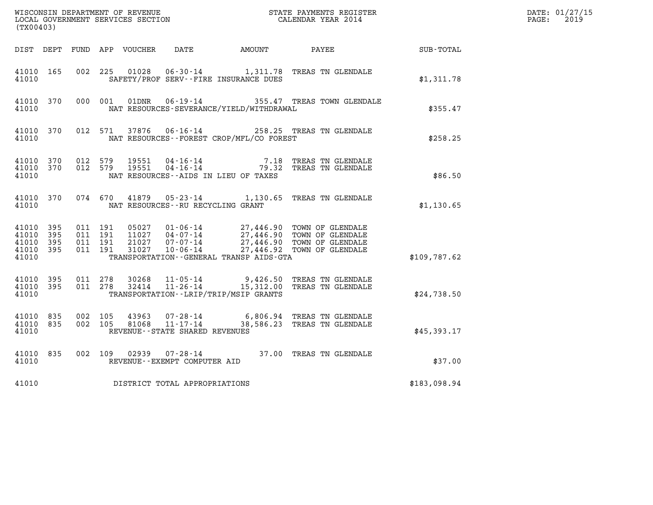| (TX00403)                                    |           |                              |                    |                |                                      |                                              | WISCONSIN DEPARTMENT OF REVENUE<br>LOCAL GOVERNMENT SERVICES SECTION<br>CALENDAR YEAR 2014                                                                                                                                                                                                                     |                  | DATE: 01/27/15<br>$\mathtt{PAGE:}$<br>2019 |
|----------------------------------------------|-----------|------------------------------|--------------------|----------------|--------------------------------------|----------------------------------------------|----------------------------------------------------------------------------------------------------------------------------------------------------------------------------------------------------------------------------------------------------------------------------------------------------------------|------------------|--------------------------------------------|
|                                              |           |                              |                    |                |                                      | DIST DEPT FUND APP VOUCHER DATE AMOUNT PAYEE |                                                                                                                                                                                                                                                                                                                | <b>SUB-TOTAL</b> |                                            |
| 41010 165<br>41010                           |           | 002 225                      |                    | 01028          |                                      | SAFETY/PROF SERV--FIRE INSURANCE DUES        | 06-30-14 1,311.78 TREAS TN GLENDALE                                                                                                                                                                                                                                                                            | \$1,311.78       |                                            |
| 41010                                        | 41010 370 |                              |                    |                |                                      | NAT RESOURCES-SEVERANCE/YIELD/WITHDRAWAL     | 000 001 01DNR 06-19-14 355.47 TREAS TOWN GLENDALE                                                                                                                                                                                                                                                              | \$355.47         |                                            |
| 41010                                        | 41010 370 |                              |                    |                |                                      | NAT RESOURCES - - FOREST CROP/MFL/CO FOREST  | 012 571 37876 06-16-14 258.25 TREAS TN GLENDALE                                                                                                                                                                                                                                                                | \$258.25         |                                            |
| 41010 370<br>41010                           |           | 41010 370 012 579<br>012 579 |                    | 19551<br>19551 |                                      | NAT RESOURCES -- AIDS IN LIEU OF TAXES       | 04-16-14 7.18 TREAS TN GLENDALE<br>04-16-14 79.32 TREAS TN GLENDALE                                                                                                                                                                                                                                            | \$86.50          |                                            |
| 41010                                        | 41010 370 |                              |                    |                | NAT RESOURCES - - RU RECYCLING GRANT |                                              | 074 670 41879 05-23-14 1,130.65 TREAS TN GLENDALE                                                                                                                                                                                                                                                              | \$1,130.65       |                                            |
| 41010 395<br>41010 395<br>41010 395<br>41010 | 41010 395 | 011 191<br>011 191           | 011 191<br>011 191 |                |                                      | TRANSPORTATION--GENERAL TRANSP AIDS-GTA      | $\begin{array}{cccc} 05027 & 01\cdot 06\cdot 14 & 27,446.90 & \text{TOWN OF GLENDALE} \\ 11027 & 04\cdot 07\cdot 14 & 27,446.90 & \text{TOWN OF GLENDALE} \\ 21027 & 07\cdot 07\cdot 14 & 27,446.90 & \text{TOWN OF GLENDALE} \\ 31027 & 10\cdot 06\cdot 14 & 27,446.92 & \text{TOWN OF GLENDALE} \end{array}$ | \$109,787.62     |                                            |
| 41010 395<br>41010                           |           | 41010 395 011 278<br>011 278 |                    | 30268          |                                      | TRANSPORTATION - - LRIP/TRIP/MSIP GRANTS     | 11-05-14 9,426.50 TREAS TN GLENDALE<br>32414   11-26-14   15,312.00 TREAS TN GLENDALE                                                                                                                                                                                                                          | \$24,738.50      |                                            |
| 41010 835<br>41010 835<br>41010              |           | 002 105<br>002 105           |                    | 43963<br>81068 | REVENUE--STATE SHARED REVENUES       |                                              | 07-28-14 6,806.94 TREAS TN GLENDALE<br>11-17-14 38,586.23 TREAS TN GLENDALE                                                                                                                                                                                                                                    | \$45,393.17      |                                            |
| 41010 835<br>41010                           |           |                              |                    |                | REVENUE--EXEMPT COMPUTER AID         |                                              | 002 109 02939 07-28-14 37.00 TREAS TN GLENDALE                                                                                                                                                                                                                                                                 | \$37.00          |                                            |
| 41010                                        |           |                              |                    |                | DISTRICT TOTAL APPROPRIATIONS        |                                              |                                                                                                                                                                                                                                                                                                                | \$183,098.94     |                                            |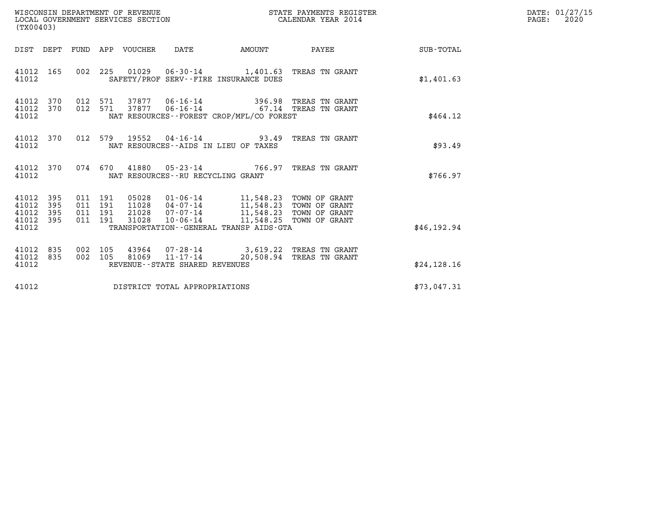| (TX00403)                                                                                                      | WISCONSIN DEPARTMENT OF REVENUE<br>LOCAL GOVERNMENT SERVICES SECTION                                                                                                                                                              | STATE PAYMENTS REGISTER<br>CALENDAR YEAR 2014 |                          |              | DATE: 01/27/15<br>$\mathtt{PAGE:}$<br>2020 |
|----------------------------------------------------------------------------------------------------------------|-----------------------------------------------------------------------------------------------------------------------------------------------------------------------------------------------------------------------------------|-----------------------------------------------|--------------------------|--------------|--------------------------------------------|
| DIST DEPT FUND APP VOUCHER DATE                                                                                | AMOUNT                                                                                                                                                                                                                            |                                               | PAYEE SUB-TOTAL          |              |                                            |
| 41012 165<br>41012                                                                                             | 002 225 01029 06-30-14 1,401.63 TREAS TN GRANT<br>SAFETY/PROF SERV--FIRE INSURANCE DUES                                                                                                                                           |                                               |                          | \$1,401.63   |                                            |
| 41012 370<br>012 571<br>012 571<br>41012 370<br>41012                                                          | 37877  06-16-14  396.98 TREAS TN GRANT<br>37877  06-16-14  67.14 TREAS TN GRANT<br>NAT RESOURCES - - FOREST CROP/MFL/CO FOREST                                                                                                    |                                               |                          | \$464.12     |                                            |
| 41012<br>370<br>41012                                                                                          | 012 579 19552 04-16-14 93.49 TREAS TN GRANT<br>NAT RESOURCES--AIDS IN LIEU OF TAXES                                                                                                                                               |                                               |                          | \$93.49      |                                            |
| 41012 370<br>41012                                                                                             | 074 670 41880 05-23-14 766.97 TREAS TN GRANT<br>NAT RESOURCES -- RU RECYCLING GRANT                                                                                                                                               |                                               |                          | \$766.97     |                                            |
| 41012<br>011 191<br>395<br>41012<br>011 191<br>395<br>41012<br>395<br>011 191<br>41012 395<br>011 191<br>41012 | 05028   01-06-14   11,548.23   TOWN OF GRANT<br>11028   04-07-14   11,548.23   TOWN OF GRANT<br>21028  07-07-14  11,548.23  TOWN OF GRANT<br>10-06-14 11,548.25 TOWN OF GRANT<br>31028<br>TRANSPORTATION--GENERAL TRANSP AIDS-GTA |                                               |                          | \$46, 192.94 |                                            |
| 41012 835<br>002 105<br>41012<br>835<br>002 105<br>41012                                                       | 43964  07-28-14  3,619.22  TREAS TN GRANT<br>81069<br>$11 - 17 - 14$<br>REVENUE--STATE SHARED REVENUES                                                                                                                            |                                               | 20,508.94 TREAS TN GRANT | \$24,128.16  |                                            |
| 41012                                                                                                          | DISTRICT TOTAL APPROPRIATIONS                                                                                                                                                                                                     |                                               |                          | \$73,047.31  |                                            |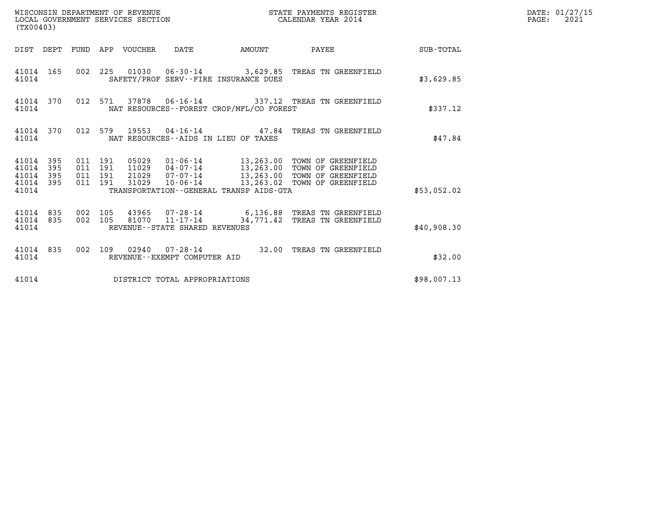| (TX00403)                                                       | WISCONSIN DEPARTMENT OF REVENUE<br>LOCAL GOVERNMENT SERVICES SECTION                                                                                                                                                                                                                     | STATE PAYMENTS REGISTER<br>CALENDAR YEAR 2014      | DATE: 01/27/15<br>$\mathtt{PAGE:}$<br>2021 |
|-----------------------------------------------------------------|------------------------------------------------------------------------------------------------------------------------------------------------------------------------------------------------------------------------------------------------------------------------------------------|----------------------------------------------------|--------------------------------------------|
|                                                                 |                                                                                                                                                                                                                                                                                          | DIST DEPT FUND APP VOUCHER DATE AMOUNT PAYEE TOTAL |                                            |
| 41014                                                           | 41014 165 002 225 01030 06-30-14 3,629.85 TREAS TN GREENFIELD<br>SAFETY/PROF SERV--FIRE INSURANCE DUES                                                                                                                                                                                   | \$3,629.85                                         |                                            |
| 41014 370<br>41014                                              | 012 571 37878 06-16-14 337.12 TREAS TN GREENFIELD<br>NAT RESOURCES--FOREST CROP/MFL/CO FOREST                                                                                                                                                                                            | \$337.12                                           |                                            |
| 41014                                                           | 41014 370 012 579 19553 04-16-14 47.84 TREAS TN GREENFIELD<br>NAT RESOURCES--AIDS IN LIEU OF TAXES                                                                                                                                                                                       | \$47.84                                            |                                            |
| 41014 395<br>41014<br>395<br>41014<br>395<br>41014 395<br>41014 | 05029  01-06-14  13,263.00 TOWN OF GREENFIELD<br>11029  04-07-14  13,263.00 TOWN OF GREENFIELD<br>21029  07-07-14  13,263.00 TOWN OF GREENFIELD<br>011 191<br>011 191<br>011 191<br>31029  10-06-14  13,263.02  TOWN OF GREENFIELD<br>011 191<br>TRANSPORTATION--GENERAL TRANSP AIDS-GTA | \$53,052.02                                        |                                            |
| 41014 835 002 105<br>41014 835<br>41014                         | 002 105 43965 07-28-14 6,136.88 TREAS TN GREENFIELD<br>002 105 81070 11-17-14 34,771.42 TREAS TN GREENFIELD<br>REVENUE--STATE SHARED REVENUES                                                                                                                                            | \$40,908.30                                        |                                            |
| 41014                                                           | 41014 835 002 109 02940 07-28-14 32.00 TREAS TN GREENFIELD<br>REVENUE--EXEMPT COMPUTER AID                                                                                                                                                                                               | \$32.00                                            |                                            |
| 41014                                                           | DISTRICT TOTAL APPROPRIATIONS                                                                                                                                                                                                                                                            | \$98,007.13                                        |                                            |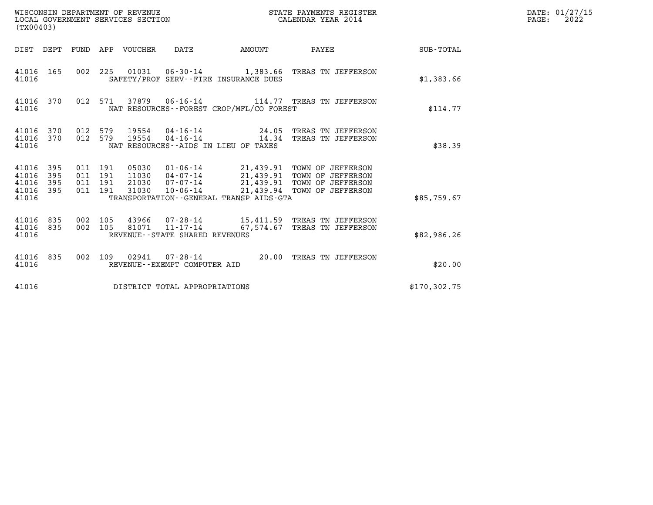| WISCONSIN DEPARTMENT OF REVENUE<br>LOCAL GOVERNMENT SERVICES SECTION<br>(TX00403) |                                          |         |                                  |                                |                                                               | STATE PAYMENTS REGISTER<br>CALENDAR YEAR 2014                                                                                              |               | DATE: 01/27/15<br>PAGE:<br>2022 |
|-----------------------------------------------------------------------------------|------------------------------------------|---------|----------------------------------|--------------------------------|---------------------------------------------------------------|--------------------------------------------------------------------------------------------------------------------------------------------|---------------|---------------------------------|
| DIST DEPT FUND APP VOUCHER                                                        |                                          |         |                                  | DATE                           | AMOUNT                                                        | PAYEE                                                                                                                                      | SUB-TOTAL     |                                 |
| 41016 165<br>41016                                                                |                                          |         |                                  |                                | SAFETY/PROF SERV--FIRE INSURANCE DUES                         | 002 225 01031 06-30-14 1,383.66 TREAS TN JEFFERSON                                                                                         | \$1,383.66    |                                 |
| 41016 370<br>41016                                                                |                                          | 012 571 |                                  |                                | NAT RESOURCES--FOREST CROP/MFL/CO FOREST                      | 37879   06-16-14   114.77   TREAS TN JEFFERSON                                                                                             | \$114.77      |                                 |
| 41016<br>370<br>370<br>41016<br>41016                                             | 012 579<br>012 579                       |         | 19554<br>19554                   |                                | $04 - 16 - 14$ 24.05<br>NAT RESOURCES - AIDS IN LIEU OF TAXES | TREAS TN JEFFERSON<br>04-16-14 14.34 TREAS TN JEFFERSON                                                                                    | \$38.39       |                                 |
| 41016<br>395<br>395<br>41016<br>395<br>41016<br>395<br>41016<br>41016             | 011 191<br>011 191<br>011 191<br>011 191 |         | 05030<br>11030<br>21030<br>31030 | 07-07-14<br>10-06-14           | TRANSPORTATION - - GENERAL TRANSP AIDS - GTA                  | 01-06-14 21,439.91 TOWN OF JEFFERSON<br>04-07-14 21,439.91 TOWN OF JEFFERSON<br>21,439.91 TOWN OF JEFFERSON<br>21,439.94 TOWN OF JEFFERSON | \$85,759.67   |                                 |
| 41016<br>835<br>835<br>41016<br>41016                                             | 002 105<br>002 105                       |         | 81071                            | REVENUE--STATE SHARED REVENUES |                                                               | 43966  07-28-14   15,411.59   TREAS TN JEFFERSON<br>11-17-14 67,574.67 TREAS TN JEFFERSON                                                  | \$82,986.26   |                                 |
| 41016 835<br>41016                                                                | 002 109                                  |         |                                  | REVENUE--EXEMPT COMPUTER AID   |                                                               | 02941  07-28-14  20.00 TREAS TN JEFFERSON                                                                                                  | \$20.00       |                                 |
| 41016                                                                             |                                          |         |                                  | DISTRICT TOTAL APPROPRIATIONS  |                                                               |                                                                                                                                            | \$170, 302.75 |                                 |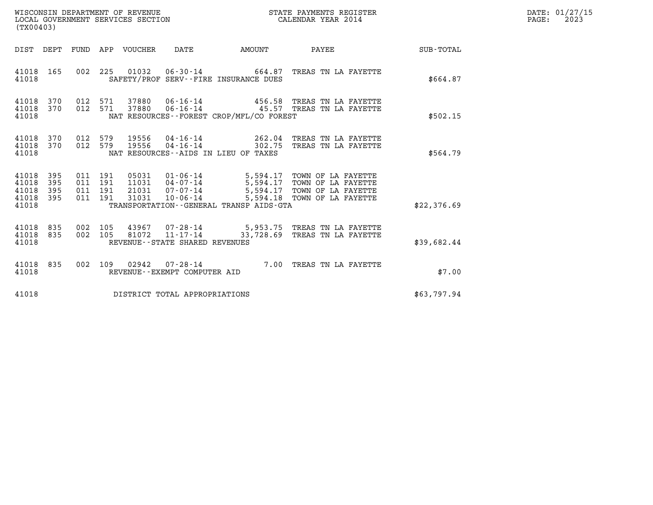| WISCONSIN DEPARTMENT OF REVENUE<br>LOCAL GOVERNMENT SERVICES SECTION<br>(TX00403) |                   |                                          |  |                            |                                   | STATE PAYMENTS REGISTER<br>CALENDAR YEAR 2014 |                                                                                                                                                                                                   |             | DATE: 01/27/15<br>2023<br>$\mathtt{PAGE:}$ |
|-----------------------------------------------------------------------------------|-------------------|------------------------------------------|--|----------------------------|-----------------------------------|-----------------------------------------------|---------------------------------------------------------------------------------------------------------------------------------------------------------------------------------------------------|-------------|--------------------------------------------|
|                                                                                   |                   |                                          |  | DIST DEPT FUND APP VOUCHER | DATE                              | AMOUNT                                        | PAYEE                                                                                                                                                                                             | SUB-TOTAL   |                                            |
| 41018 165<br>41018                                                                |                   |                                          |  |                            |                                   | SAFETY/PROF SERV--FIRE INSURANCE DUES         | 002 225 01032 06-30-14 664.87 TREAS TN LA FAYETTE                                                                                                                                                 | \$664.87    |                                            |
| 41018<br>41018 370<br>41018                                                       | 370               | 012 571<br>012 571                       |  |                            |                                   | NAT RESOURCES--FOREST CROP/MFL/CO FOREST      | 37880  06-16-14  456.58 TREAS TN LA FAYETTE<br>37880  06-16-14  45.57 TREAS TN LA FAYETTE                                                                                                         | \$502.15    |                                            |
| 41018 370<br>41018<br>41018                                                       | 370               | 012 579<br>012 579                       |  | 19556<br>19556             | $04 - 16 - 14$                    | NAT RESOURCES--AIDS IN LIEU OF TAXES          | 04-16-14 262.04 TREAS TN LA FAYETTE<br>302.75 TREAS TN LA FAYETTE                                                                                                                                 | \$564.79    |                                            |
| 41018<br>41018<br>41018<br>41018 395<br>41018                                     | 395<br>395<br>395 | 011 191<br>011 191<br>011 191<br>011 191 |  |                            |                                   | TRANSPORTATION--GENERAL TRANSP AIDS-GTA       | 05031  01-06-14  5,594.17  TOWN OF LA FAYETTE<br>$11031$ $04 - 07 - 14$ $5,594.17$ TOWN OF LA FAYETTE<br>21031 07-07-14 5,594.17 TOWN OF LA FAYETTE<br>31031 10-06-14 5,594.18 TOWN OF LA FAYETTE | \$22,376.69 |                                            |
| 41018 835<br>41018 835<br>41018                                                   |                   | 002 105<br>002 105                       |  |                            | REVENUE - - STATE SHARED REVENUES |                                               | 43967 07-28-14 5,953.75 TREAS TN LA FAYETTE<br>81072 11-17-14 33,728.69 TREAS TN LA FAYETTE                                                                                                       | \$39,682.44 |                                            |
| 41018 835<br>41018                                                                |                   |                                          |  | 002 109 02942              | REVENUE--EXEMPT COMPUTER AID      |                                               | 07-28-14 7.00 TREAS TN LA FAYETTE                                                                                                                                                                 | \$7.00      |                                            |
| 41018                                                                             |                   |                                          |  |                            | DISTRICT TOTAL APPROPRIATIONS     |                                               |                                                                                                                                                                                                   | \$63,797.94 |                                            |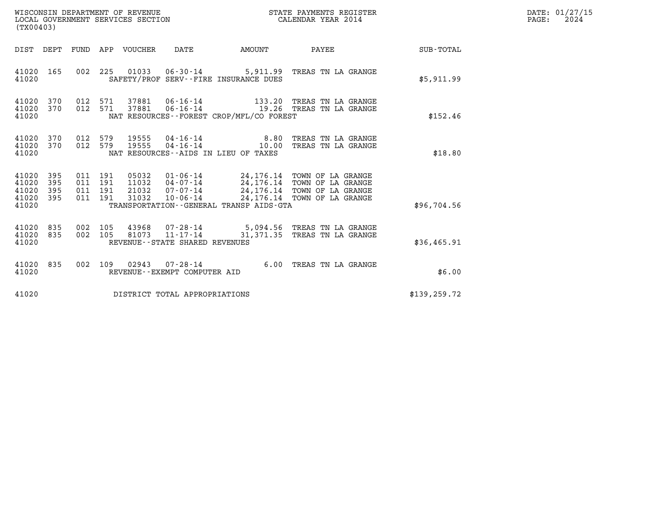| WISCONSIN DEPARTMENT OF REVENUE<br>LOCAL GOVERNMENT SERVICES SECTION<br>(TX00403) |                          |                                          |  |                                  |                                                     |                                                        | STATE PAYMENTS REGISTER<br>CALENDAR YEAR 2014                                                                                      |               | DATE: 01/27/15<br>2024<br>PAGE: |
|-----------------------------------------------------------------------------------|--------------------------|------------------------------------------|--|----------------------------------|-----------------------------------------------------|--------------------------------------------------------|------------------------------------------------------------------------------------------------------------------------------------|---------------|---------------------------------|
| DIST DEPT                                                                         |                          |                                          |  | FUND APP VOUCHER                 | DATE                                                | AMOUNT                                                 | PAYEE                                                                                                                              | SUB-TOTAL     |                                 |
| 41020 165<br>41020                                                                |                          | 002 225                                  |  | 01033                            | $06 - 30 - 14$                                      | SAFETY/PROF SERV--FIRE INSURANCE DUES                  | 5,911.99 TREAS TN LA GRANGE                                                                                                        | \$5,911.99    |                                 |
| 41020<br>41020<br>41020                                                           | 370<br>370               | 012 571<br>012 571                       |  | 37881<br>37881                   | 06-16-14<br>$06 - 16 - 14$                          | NAT RESOURCES - - FOREST CROP/MFL/CO FOREST            | 133.20 TREAS TN LA GRANGE<br>19.26 TREAS TN LA GRANGE                                                                              | \$152.46      |                                 |
| 41020<br>41020<br>41020                                                           | 370<br>370               | 012 579<br>012 579                       |  | 19555<br>19555                   | 04-16-14<br>04-16-14                                | 8.80<br>10.00<br>NAT RESOURCES - AIDS IN LIEU OF TAXES | TREAS TN LA GRANGE<br>TREAS TN LA GRANGE                                                                                           | \$18.80       |                                 |
| 41020<br>41020<br>41020<br>41020<br>41020                                         | 395<br>395<br>395<br>395 | 011 191<br>011 191<br>011 191<br>011 191 |  | 05032<br>11032<br>21032<br>31032 | 04-07-14<br>07-07-14<br>10-06-14                    | TRANSPORTATION--GENERAL TRANSP AIDS-GTA                | 01-06-14 24,176.14 TOWN OF LA GRANGE<br>24, 176.14 TOWN OF LA GRANGE<br>24,176.14 TOWN OF LA GRANGE<br>24,176.14 TOWN OF LA GRANGE | \$96,704.56   |                                 |
| 41020<br>41020<br>41020                                                           | 835<br>835               | 002 105<br>002 105                       |  | 43968<br>81073                   | $11 - 17 - 14$<br>REVENUE - - STATE SHARED REVENUES |                                                        | 07-28-14 5,094.56 TREAS TN LA GRANGE<br>31,371.35 TREAS TN LA GRANGE                                                               | \$36,465.91   |                                 |
| 41020 835<br>41020                                                                |                          | 002 109                                  |  | 02943                            | $07 - 28 - 14$<br>REVENUE--EXEMPT COMPUTER AID      |                                                        | 6.00 TREAS TN LA GRANGE                                                                                                            | \$6.00        |                                 |
| 41020                                                                             |                          |                                          |  |                                  | DISTRICT TOTAL APPROPRIATIONS                       |                                                        |                                                                                                                                    | \$139, 259.72 |                                 |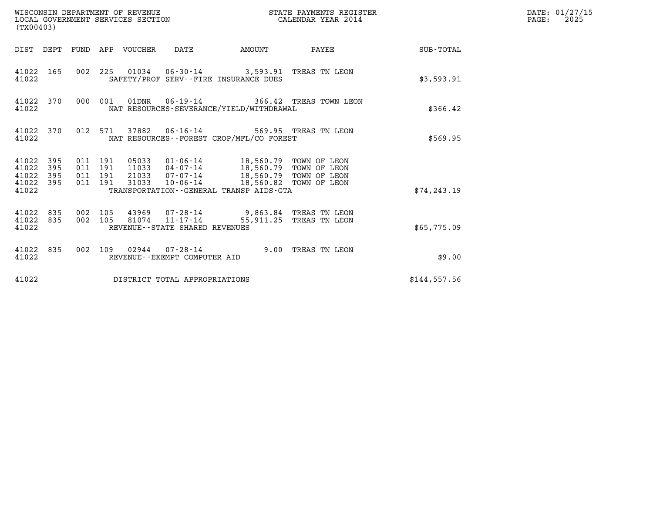| WISCONSIN DEPARTMENT OF REVENUE<br>STATE PAYMENTS REGISTER<br>WISCONSIN DEPARTMENT OF REVENUE<br>LOCAL GOVERNMENT SERVICES SECTION<br>CALENDAR YEAR 2014<br>(TX00403) |                                          |                                 |                                                  |                                                                                                                     |                                         |              | DATE: 01/27/15<br>$\mathtt{PAGE:}$<br>2025 |
|-----------------------------------------------------------------------------------------------------------------------------------------------------------------------|------------------------------------------|---------------------------------|--------------------------------------------------|---------------------------------------------------------------------------------------------------------------------|-----------------------------------------|--------------|--------------------------------------------|
|                                                                                                                                                                       |                                          | DIST DEPT FUND APP VOUCHER DATE |                                                  | AMOUNT                                                                                                              | PAYEE SUB-TOTAL                         |              |                                            |
| 41022 165<br>41022                                                                                                                                                    |                                          |                                 | SAFETY/PROF SERV--FIRE INSURANCE DUES            | 002 225 01034 06-30-14 3,593.91 TREAS TN LEON                                                                       |                                         | \$3,593.91   |                                            |
| 41022 370<br>41022                                                                                                                                                    |                                          | 000 001                         |                                                  | NAT RESOURCES-SEVERANCE/YIELD/WITHDRAWAL                                                                            | 01DNR  06-19-14  366.42 TREAS TOWN LEON | \$366.42     |                                            |
| 41022 370<br>41022                                                                                                                                                    |                                          |                                 |                                                  | 012 571 37882 06-16-14 569.95 TREAS TN LEON<br>NAT RESOURCES - - FOREST CROP/MFL/CO FOREST                          |                                         | \$569.95     |                                            |
| 395<br>41022<br>41022<br>395<br>41022 395<br>41022 395<br>41022                                                                                                       | 011 191<br>011 191<br>011 191<br>011 191 | 31033                           |                                                  | 21033 07-07-14 18,560.79 TOWN OF LEON<br>10-06-14 18,560.82 TOWN OF LEON<br>TRANSPORTATION--GENERAL TRANSP AIDS-GTA |                                         | \$74, 243.19 |                                            |
| 41022 835<br>41022 835<br>41022                                                                                                                                       | 002 105<br>002 105                       |                                 | 81074 11-17-14<br>REVENUE--STATE SHARED REVENUES | 43969 07-28-14 9,863.84 TREAS TN LEON                                                                               | 55,911.25 TREAS TN LEON                 | \$65,775.09  |                                            |
| 41022 835<br>41022                                                                                                                                                    |                                          |                                 | REVENUE--EXEMPT COMPUTER AID                     | 002 109 02944 07-28-14 9.00 TREAS TN LEON                                                                           |                                         | \$9.00       |                                            |
| 41022                                                                                                                                                                 |                                          |                                 | DISTRICT TOTAL APPROPRIATIONS                    |                                                                                                                     |                                         | \$144,557.56 |                                            |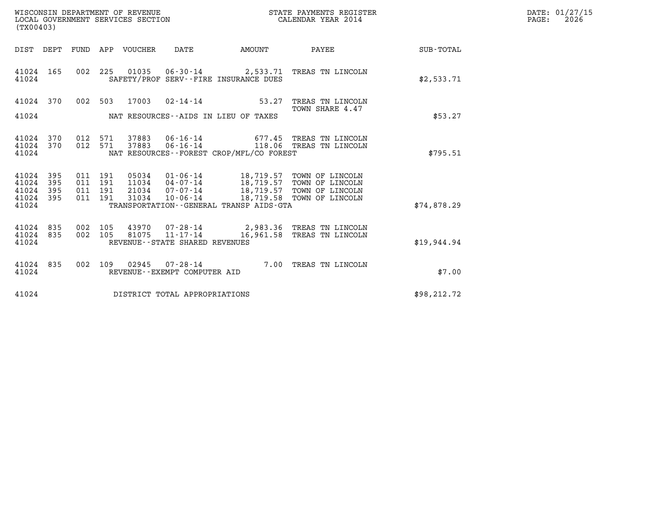| WISCONSIN DEPARTMENT OF REVENUE   | STATE PAYMENTS REGISTER | DATE: 01/27/15 |
|-----------------------------------|-------------------------|----------------|
| LOCAL GOVERNMENT SERVICES SECTION | CALENDAR YEAR 2014      | 2026<br>PAGE:  |

| (TX00403)                                                                                         |                                                                                                                                                                    |                                                  |                                                                          |                  |
|---------------------------------------------------------------------------------------------------|--------------------------------------------------------------------------------------------------------------------------------------------------------------------|--------------------------------------------------|--------------------------------------------------------------------------|------------------|
| DIST<br>DEPT<br>FUND                                                                              | APP<br>VOUCHER<br>DATE                                                                                                                                             | AMOUNT                                           | PAYEE                                                                    | <b>SUB-TOTAL</b> |
| 165<br>002<br>41024<br>41024                                                                      | 225<br>01035<br>06-30-14 2,533.71<br>SAFETY/PROF SERV--FIRE INSURANCE DUES                                                                                         |                                                  | TREAS TN LINCOLN                                                         | \$2,533.71       |
| 41024<br>370<br>002<br>41024                                                                      | 503<br>17003<br>$02 - 14 - 14$<br>NAT RESOURCES -- AIDS IN LIEU OF TAXES                                                                                           | 53.27                                            | TREAS TN LINCOLN<br>TOWN SHARE 4.47                                      | \$53.27          |
| 370<br>012<br>41024<br>41024<br>370<br>012<br>41024                                               | 37883<br>$06 - 16 - 14$<br>571<br>571<br>$06 - 16 - 14$<br>37883<br>NAT RESOURCES - - FOREST CROP/MFL/CO FOREST                                                    | 677.45<br>118.06                                 | TREAS TN LINCOLN<br>TREAS TN LINCOLN                                     | \$795.51         |
| 395<br>41024<br>011<br>41024<br>395<br>011<br>41024<br>395<br>011<br>41024<br>395<br>011<br>41024 | 191<br>05034<br>01-06-14<br>191<br>11034<br>04-07-14<br>191<br>21034<br>07-07-14<br>191<br>31034<br>$10 - 06 - 14$<br>TRANSPORTATION - - GENERAL TRANSP AIDS - GTA | 18,719.57<br>18,719.57<br>18,719.57<br>18,719.58 | TOWN OF LINCOLN<br>TOWN OF LINCOLN<br>TOWN OF LINCOLN<br>TOWN OF LINCOLN | \$74,878.29      |
| 835<br>41024<br>002<br>41024<br>835<br>002<br>41024                                               | 105<br>43970<br>07-28-14 2,983.36<br>105<br>81075<br>$11 - 17 - 14$<br>REVENUE - - STATE SHARED REVENUES                                                           | 16,961.58                                        | TREAS TN LINCOLN<br>TREAS TN LINCOLN                                     | \$19,944.94      |
| 835<br>002<br>41024<br>41024                                                                      | 109<br>02945<br>$07 - 28 - 14$<br>REVENUE--EXEMPT COMPUTER AID                                                                                                     | 7.00                                             | TREAS TN LINCOLN                                                         | \$7.00           |
| 41024                                                                                             | DISTRICT TOTAL APPROPRIATIONS                                                                                                                                      |                                                  |                                                                          | \$98, 212.72     |

LOCAL GOVERNMENT SERVICES SECTION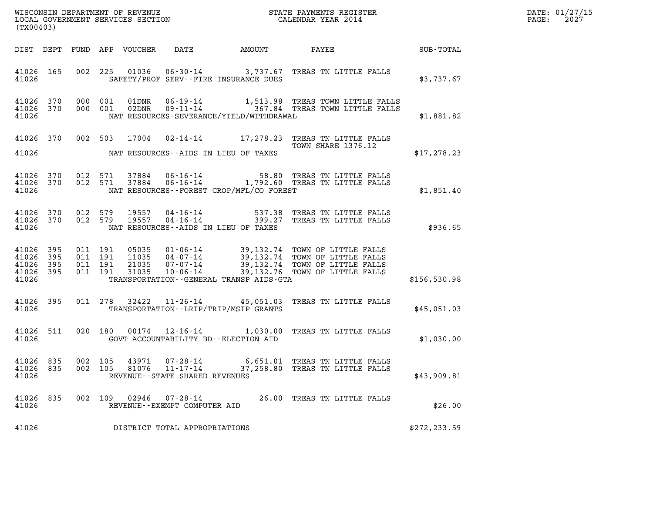| DATE: | 01/27/15 |
|-------|----------|
| PAGE: | 2027     |

| (TX00403)                                    |  |                                         |         |                |                                                                    |                                             |                                                                                                                                                                                                                                                   |               | DATE: 01/27/15<br>2027<br>$\mathtt{PAGE:}$ |
|----------------------------------------------|--|-----------------------------------------|---------|----------------|--------------------------------------------------------------------|---------------------------------------------|---------------------------------------------------------------------------------------------------------------------------------------------------------------------------------------------------------------------------------------------------|---------------|--------------------------------------------|
|                                              |  |                                         |         |                |                                                                    |                                             |                                                                                                                                                                                                                                                   |               |                                            |
| 41026                                        |  |                                         |         |                |                                                                    | SAFETY/PROF SERV--FIRE INSURANCE DUES       | 41026 165 002 225 01036 06-30-14 3,737.67 TREAS TN LITTLE FALLS                                                                                                                                                                                   | \$3,737.67    |                                            |
| 41026                                        |  |                                         |         |                |                                                                    | NAT RESOURCES-SEVERANCE/YIELD/WITHDRAWAL    | $\begin{tabular}{llllll} 41026 & 370 & 000 & 001 & 01DNR & 06-19-14 & 1,513.98 & TREAS TOWN LITTLE FALLS \\ 41026 & 370 & 000 & 001 & 02DNR & 09-11-14 & 367.84 & TREAS TOWN LITTLE FALLS \end{tabular}$                                          | \$1,881.82    |                                            |
| 41026                                        |  |                                         |         |                |                                                                    | NAT RESOURCES--AIDS IN LIEU OF TAXES        | 41026 370 002 503 17004 02-14-14 17,278.23 TREAS TN LITTLE FALLS<br>TOWN SHARE 1376.12                                                                                                                                                            | \$17,278.23   |                                            |
| 41026                                        |  |                                         |         |                |                                                                    | NAT RESOURCES - - FOREST CROP/MFL/CO FOREST | $\begin{array}{cccc} 41026 & 370 & 012 & 571 & 37884 & 06\text{-}16\text{-}14 & & & & 58.80 & \text{TREAS TN LITTLE FALLS} \\ 41026 & 370 & 012 & 571 & 37884 & 06\text{-}16\text{-}14 & & & 1,792.60 & \text{TREAS TN LITTLE FALLS} \end{array}$ | \$1,851.40    |                                            |
| 41026                                        |  |                                         |         |                |                                                                    | NAT RESOURCES -- AIDS IN LIEU OF TAXES      | $\begin{array}{cccc} 41026 & 370 & 012 & 579 & 19557 & 04\cdot 16\cdot 14 & 537.38 & \text{TREAS TN LITPLE FALLS} \\ 41026 & 370 & 012 & 579 & 19557 & 04\cdot 16\cdot 14 & 399.27 & \text{TREAS TN LITPLE FALLS} \end{array}$                    | \$936.65      |                                            |
| 41026 395<br>41026 395<br>41026 395<br>41026 |  | 41026 395 011 191<br>011 191<br>011 191 | 011 191 |                |                                                                    | TRANSPORTATION--GENERAL TRANSP AIDS-GTA     | 05035 01-06-14 39,132.74 TOWN OF LITTLE FALLS<br>11035 04-07-14 39,132.74 TOWN OF LITTLE FALLS<br>21035 07-07-14 39,132.74 TOWN OF LITTLE FALLS<br>31035 10-06-14 39,132.76 TOWN OF LITTLE FALLS                                                  | \$156,530.98  |                                            |
| 41026 395<br>41026                           |  |                                         |         |                |                                                                    | TRANSPORTATION--LRIP/TRIP/MSIP GRANTS       | 011 278 32422 11-26-14 45,051.03 TREAS TN LITTLE FALLS                                                                                                                                                                                            | \$45,051.03   |                                            |
| 41026 511<br>41026                           |  |                                         |         |                |                                                                    | GOVT ACCOUNTABILITY BD--ELECTION AID        | 020 180 00174 12-16-14 1,030.00 TREAS TN LITTLE FALLS                                                                                                                                                                                             | \$1,030.00    |                                            |
| 41026 835<br>41026 835<br>41026              |  | 002 105<br>002 105                      |         | 43971<br>81076 | $07 - 28 - 14$<br>$11 - 17 - 14$<br>REVENUE--STATE SHARED REVENUES |                                             | 6,651.01 TREAS TN LITTLE FALLS<br>37,258.80 TREAS TN LITTLE FALLS                                                                                                                                                                                 | \$43,909.81   |                                            |
| 41026 835<br>41026                           |  |                                         |         | 002 109 02946  | 07-28-14<br>REVENUE--EXEMPT COMPUTER AID                           |                                             | 26.00 TREAS TN LITTLE FALLS                                                                                                                                                                                                                       | \$26.00       |                                            |
| 41026                                        |  |                                         |         |                | DISTRICT TOTAL APPROPRIATIONS                                      |                                             |                                                                                                                                                                                                                                                   | \$272, 233.59 |                                            |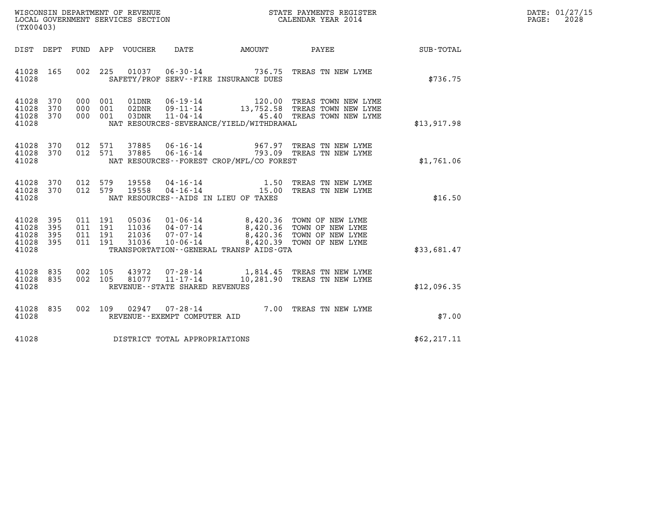| WISCONSIN DEPARTMENT OF REVENUE   | STATE PAYMENTS REGISTER | DATE: 01/27/15 |
|-----------------------------------|-------------------------|----------------|
| LOCAL GOVERNMENT SERVICES SECTION | CALENDAR YEAR 2014      | 2028<br>PAGE:  |

| (TX00403)                                                                                         |                                                                                                                                                                                                                                                                                                                |                  |
|---------------------------------------------------------------------------------------------------|----------------------------------------------------------------------------------------------------------------------------------------------------------------------------------------------------------------------------------------------------------------------------------------------------------------|------------------|
| DIST<br>DEPT<br>FUND                                                                              | VOUCHER<br>DATE<br>PAYEE<br>APP<br>AMOUNT                                                                                                                                                                                                                                                                      | <b>SUB-TOTAL</b> |
| 41028<br>165<br>002<br>41028                                                                      | 225<br>01037<br>$06 - 30 - 14$<br>736.75<br>TREAS TN NEW LYME<br>SAFETY/PROF SERV--FIRE INSURANCE DUES                                                                                                                                                                                                         | \$736.75         |
| 41028<br>370<br>000<br>370<br>000<br>41028<br>41028<br>370<br>000<br>41028                        | $06 - 19 - 14$<br>001<br>01DNR<br>120.00<br>TREAS TOWN NEW LYME<br>13,752.58<br>001<br>02DNR<br>$09 - 11 - 14$<br>TREAS TOWN NEW LYME<br>45.40<br>TREAS TOWN NEW LYME<br>001<br>03DNR<br>$11 - 04 - 14$<br>NAT RESOURCES-SEVERANCE/YIELD/WITHDRAWAL                                                            | \$13,917.98      |
| 41028<br>370<br>012<br>41028<br>370<br>012<br>41028                                               | 37885<br>571<br>$06 - 16 - 14$<br>967.97<br>TREAS TN NEW LYME<br>571<br>37885<br>$06 - 16 - 14$<br>793.09<br>TREAS TN NEW LYME<br>NAT RESOURCES - - FOREST CROP/MFL/CO FOREST                                                                                                                                  | \$1,761.06       |
| 41028<br>370<br>012<br>370<br>012<br>41028<br>41028                                               | 579<br>19558<br>$04 - 16 - 14$<br>1.50<br>TREAS TN NEW LYME<br>$04 - 16 - 14$<br>579<br>15.00<br>19558<br>TREAS TN NEW LYME<br>NAT RESOURCES--AIDS IN LIEU OF TAXES                                                                                                                                            | \$16.50          |
| 41028<br>395<br>011<br>41028<br>395<br>011<br>41028<br>395<br>011<br>41028<br>395<br>011<br>41028 | 191<br>05036<br>$01 - 06 - 14$<br>8,420.36 TOWN OF NEW LYME<br>8,420.36 TOWN OF NEW LYME<br>191<br>11036<br>$04 - 07 - 14$<br>8,420.36<br>21036<br>$07 - 07 - 14$<br>191<br>TOWN OF NEW LYME<br>8,420.39<br>191<br>31036<br>$10 - 06 - 14$<br>TOWN OF NEW LYME<br>TRANSPORTATION - - GENERAL TRANSP AIDS - GTA | \$33,681.47      |
| 835<br>41028<br>002<br>41028<br>835<br>002<br>41028                                               | 105<br>43972<br>07-28-14<br>1,814.45<br>TREAS TN NEW LYME<br>$11 - 17 - 14$<br>81077<br>10,281.90<br>105<br>TREAS TN NEW LYME<br>REVENUE - - STATE SHARED REVENUES                                                                                                                                             | \$12,096.35      |
| 835<br>41028<br>002<br>41028                                                                      | 109<br>02947<br>$07 - 28 - 14$<br>7.00<br>TREAS TN NEW LYME<br>REVENUE--EXEMPT COMPUTER AID                                                                                                                                                                                                                    | \$7.00           |
| 41028                                                                                             | DISTRICT TOTAL APPROPRIATIONS                                                                                                                                                                                                                                                                                  | \$62, 217.11     |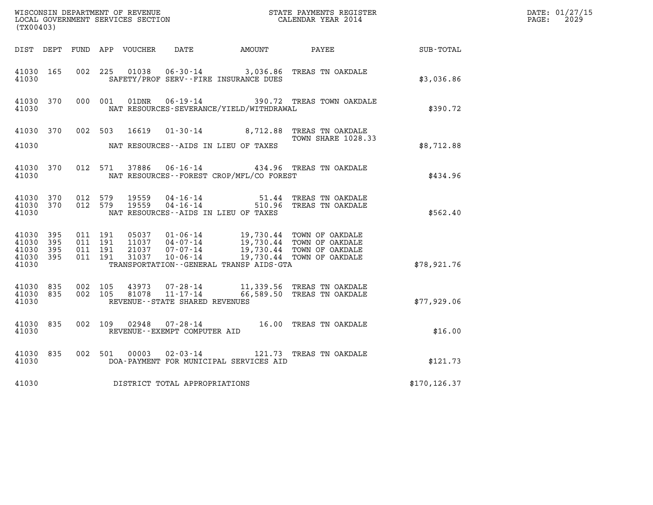| WISCONSIN DEPARTMENT OF REVENUE<br>LOCAL GOVERNMENT SERVICES SECTION<br>CALENDAR YEAR 2014<br>(TX00403) |     |                                          |         |               |                                |                                              |                                                                                                                                                                        |               | DATE: 01/27/15<br>$\mathtt{PAGE:}$<br>2029 |
|---------------------------------------------------------------------------------------------------------|-----|------------------------------------------|---------|---------------|--------------------------------|----------------------------------------------|------------------------------------------------------------------------------------------------------------------------------------------------------------------------|---------------|--------------------------------------------|
|                                                                                                         |     |                                          |         |               |                                | DIST DEPT FUND APP VOUCHER DATE AMOUNT PAYEE |                                                                                                                                                                        | SUB-TOTAL     |                                            |
| 41030 165<br>41030                                                                                      |     | 002 225                                  |         | 01038         |                                | SAFETY/PROF SERV--FIRE INSURANCE DUES        | 06-30-14 3,036.86 TREAS TN OAKDALE                                                                                                                                     | \$3,036.86    |                                            |
| 41030 370<br>41030                                                                                      |     |                                          |         | 000 001 01DNR |                                | NAT RESOURCES-SEVERANCE/YIELD/WITHDRAWAL     | 06-19-14 390.72 TREAS TOWN OAKDALE                                                                                                                                     | \$390.72      |                                            |
| 41030 370<br>41030                                                                                      |     | 002 503                                  |         | 16619         |                                | NAT RESOURCES--AIDS IN LIEU OF TAXES         | 01-30-14 8,712.88 TREAS TN OAKDALE<br><b>TOWN SHARE 1028.33</b>                                                                                                        | \$8,712.88    |                                            |
| 41030 370<br>41030                                                                                      |     |                                          | 012 571 |               |                                | NAT RESOURCES--FOREST CROP/MFL/CO FOREST     | 37886  06-16-14  434.96  TREAS TN OAKDALE                                                                                                                              | \$434.96      |                                            |
| 41030 370<br>41030 370<br>41030                                                                         |     | 012 579<br>012 579                       |         |               |                                | NAT RESOURCES--AIDS IN LIEU OF TAXES         | 19559  04-16-14  51.44  TREAS TN OAKDALE<br>19559  04-16-14  510.96  TREAS TN OAKDALE                                                                                  | \$562.40      |                                            |
| 41030 395<br>41030<br>41030 395<br>41030 395<br>41030                                                   | 395 | 011 191<br>011 191<br>011 191<br>011 191 |         | 31037         |                                | TRANSPORTATION - - GENERAL TRANSP AIDS - GTA | 05037 01-06-14 19,730.44 TOWN OF OAKDALE<br>11037 04-07-14 19,730.44 TOWN OF OAKDALE<br>21037 07-07-14 19,730.44 TOWN OF OAKDALE<br>10-06-14 19,730.44 TOWN OF OAKDALE | \$78,921.76   |                                            |
| 41030 835<br>41030 835<br>41030                                                                         |     | 002 105<br>002 105                       |         |               | REVENUE--STATE SHARED REVENUES |                                              | 43973  07-28-14   11,339.56  TREAS TN OAKDALE<br>81078  11-17-14   66,589.50  TREAS TN OAKDALE                                                                         | \$77,929.06   |                                            |
| 41030 835<br>41030                                                                                      |     |                                          |         |               | REVENUE--EXEMPT COMPUTER AID   |                                              | 002 109 02948 07-28-14 16.00 TREAS TN OAKDALE                                                                                                                          | \$16.00       |                                            |
| 41030 835<br>41030                                                                                      |     |                                          | 002 501 | 00003         |                                | DOA-PAYMENT FOR MUNICIPAL SERVICES AID       | 02-03-14 121.73 TREAS TN OAKDALE                                                                                                                                       | \$121.73      |                                            |
| 41030                                                                                                   |     |                                          |         |               | DISTRICT TOTAL APPROPRIATIONS  |                                              |                                                                                                                                                                        | \$170, 126.37 |                                            |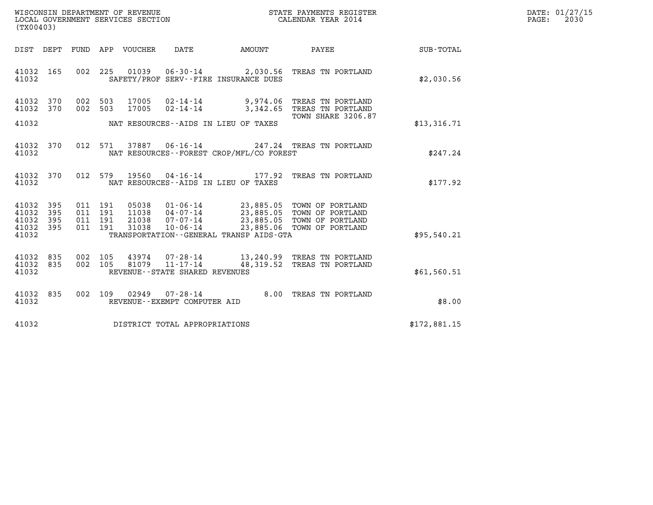| WISCONSIN DEPARTMENT OF REVENUE   | STATE PAYMENTS REGISTER | DATE: 01/27/15 |
|-----------------------------------|-------------------------|----------------|
| LOCAL GOVERNMENT SERVICES SECTION | CALENDAR YEAR 2014      | 2030<br>PAGE:  |

| WISCONSIN DEPARTMENT OF REVENUE<br>(TX00403)        | LOCAL GOVERNMENT SERVICES SECTION                                                                           | STATE PAYMENTS REGISTER<br>CALENDAR YEAR 2014                    |                  |  |  |
|-----------------------------------------------------|-------------------------------------------------------------------------------------------------------------|------------------------------------------------------------------|------------------|--|--|
| FUND<br>DIST<br>DEPT                                | APP<br>VOUCHER<br>DATE                                                                                      | AMOUNT<br>PAYEE                                                  | <b>SUB-TOTAL</b> |  |  |
| 165<br>002<br>41032<br>41032                        | 225<br>01039<br>$06 - 30 - 14$<br>SAFETY/PROF SERV--FIRE INSURANCE DUES                                     | 2,030.56<br>TREAS TN PORTLAND                                    | \$2,030.56       |  |  |
| 002<br>41032<br>370<br>370<br>002<br>41032          | 503<br>17005<br>$02 - 14 - 14$<br>503<br>17005<br>$02 - 14 - 14$                                            | 9,974.06<br>TREAS TN PORTLAND<br>3,342.65<br>TREAS TN PORTLAND   |                  |  |  |
| 41032                                               | NAT RESOURCES--AIDS IN LIEU OF TAXES                                                                        | <b>TOWN SHARE 3206.87</b>                                        | \$13,316.71      |  |  |
| 012<br>41032<br>370<br>41032                        | 571<br>37887<br>$06 - 16 - 14$<br>NAT RESOURCES--FOREST CROP/MFL/CO FOREST                                  | 247.24 TREAS TN PORTLAND                                         | \$247.24         |  |  |
| 370<br>012<br>41032<br>41032                        | 579<br>19560<br>$04 - 16 - 14$ 177.92<br>NAT RESOURCES -- AIDS IN LIEU OF TAXES                             | TREAS TN PORTLAND                                                | \$177.92         |  |  |
| 41032<br>395<br>011<br>395<br>011<br>41032          | 191<br>05038 01-06-14<br>$04 - 07 - 14$<br>191<br>11038                                                     | 23,885.05 TOWN OF PORTLAND<br>23,885.05 TOWN OF PORTLAND         |                  |  |  |
| 41032<br>395<br>011<br>011<br>41032<br>395<br>41032 | 21038<br>$07 - 07 - 14$<br>191<br>191<br>31038<br>$10 - 06 - 14$<br>TRANSPORTATION--GENERAL TRANSP AIDS-GTA | 23,885.05<br>TOWN OF PORTLAND<br>23,885.06 TOWN OF PORTLAND      | \$95,540.21      |  |  |
| 835<br>002<br>41032<br>002<br>41032<br>835<br>41032 | 105<br>43974<br>$07 - 28 - 14$<br>105<br>81079<br>$11 - 17 - 14$<br>REVENUE - - STATE SHARED REVENUES       | 13,240.99<br>TREAS TN PORTLAND<br>48,319.52<br>TREAS TN PORTLAND | \$61,560.51      |  |  |
| 835<br>002<br>41032<br>41032                        | 109<br>02949<br>$07 - 28 - 14$<br>REVENUE - - EXEMPT COMPUTER AID                                           | 8.00<br>TREAS TN PORTLAND                                        | \$8.00           |  |  |
| 41032                                               | DISTRICT TOTAL APPROPRIATIONS                                                                               |                                                                  | \$172,881.15     |  |  |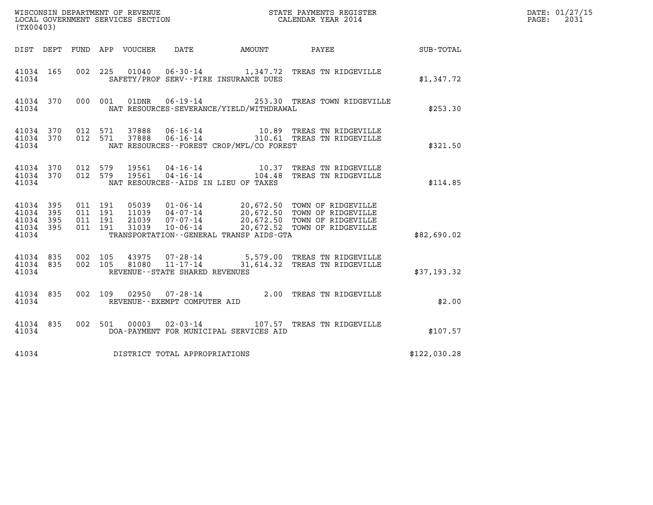| (TX00403)                                             |                                |                                          |         |                                 |                                                     |                                              | DATE: 01/27/15<br>$\mathtt{PAGE}$ :<br>2031                                                                                                                                                          |              |  |
|-------------------------------------------------------|--------------------------------|------------------------------------------|---------|---------------------------------|-----------------------------------------------------|----------------------------------------------|------------------------------------------------------------------------------------------------------------------------------------------------------------------------------------------------------|--------------|--|
|                                                       |                                |                                          |         | DIST DEPT FUND APP VOUCHER DATE |                                                     | AMOUNT PAYEE                                 |                                                                                                                                                                                                      | SUB-TOTAL    |  |
| 41034 165<br>41034                                    |                                |                                          |         |                                 |                                                     | SAFETY/PROF SERV--FIRE INSURANCE DUES        | 002 225 01040 06-30-14 1,347.72 TREAS TN RIDGEVILLE                                                                                                                                                  | \$1,347.72   |  |
| 41034                                                 | 41034 370                      |                                          | 000 001 |                                 |                                                     | NAT RESOURCES-SEVERANCE/YIELD/WITHDRAWAL     | 01DNR  06-19-14  253.30 TREAS TOWN RIDGEVILLE                                                                                                                                                        | \$253.30     |  |
| 41034                                                 | 41034 370 012 571<br>41034 370 | 012 571                                  |         | 37888<br>37888                  |                                                     | NAT RESOURCES--FOREST CROP/MFL/CO FOREST     | 06-16-14 10.89 TREAS TN RIDGEVILLE<br>06-16-14 310.61 TREAS TN RIDGEVILLE                                                                                                                            | \$321.50     |  |
| 41034 370<br>41034                                    | 41034 370 012 579              | 012 579                                  |         | 19561<br>19561                  | 04 - 16 - 14<br>04 - 16 - 14                        | NAT RESOURCES -- AIDS IN LIEU OF TAXES       | 10.37 TREAS TN RIDGEVILLE<br>104.48 TREAS TN RIDGEVILLE                                                                                                                                              | \$114.85     |  |
| 41034 395<br>41034 395<br>41034<br>41034 395<br>41034 | - 395                          | 011 191<br>011 191<br>011 191<br>011 191 |         |                                 |                                                     | TRANSPORTATION - - GENERAL TRANSP AIDS - GTA | 05039  01-06-14  20,672.50  TOWN OF RIDGEVILLE<br>11039  04-07-14  20,672.50  TOWN OF RIDGEVILLE<br>21039  07-07-14  20,672.50  TOWN OF RIDGEVILLE<br>31039  10-06-14  20,672.52  TOWN OF RIDGEVILLE | \$82,690.02  |  |
| 41034 835<br>41034 835<br>41034                       |                                | 002 105<br>002 105                       |         | 43975<br>81080                  | $11 - 17 - 14$<br>REVENUE - - STATE SHARED REVENUES |                                              | 07-28-14 5,579.00 TREAS TN RIDGEVILLE<br>31,614.32 TREAS TN RIDGEVILLE                                                                                                                               | \$37,193.32  |  |
| 41034 835<br>41034                                    |                                |                                          | 002 109 |                                 | 02950 07-28-14<br>REVENUE--EXEMPT COMPUTER AID      |                                              | 2.00 TREAS TN RIDGEVILLE                                                                                                                                                                             | \$2.00       |  |
| 41034 835<br>41034                                    |                                |                                          | 002 501 | 00003                           |                                                     | DOA-PAYMENT FOR MUNICIPAL SERVICES AID       | 02-03-14 107.57 TREAS TN RIDGEVILLE                                                                                                                                                                  | \$107.57     |  |
| 41034                                                 |                                |                                          |         |                                 | DISTRICT TOTAL APPROPRIATIONS                       |                                              |                                                                                                                                                                                                      | \$122,030.28 |  |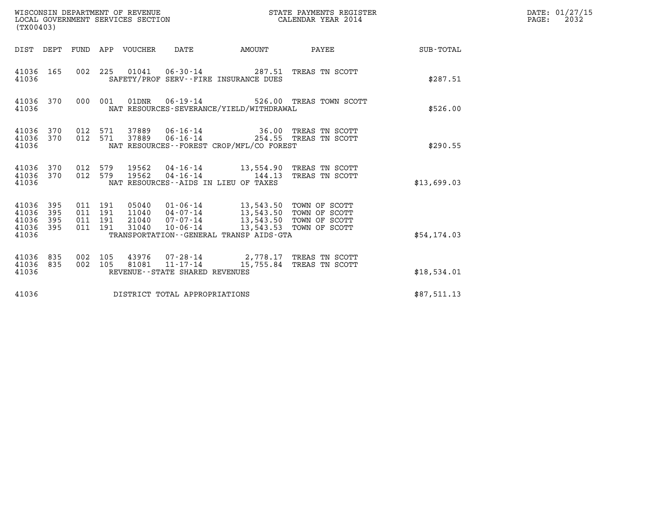| WISCONSIN DEPARTMENT OF REVENUE<br>LOCAL GOVERNMENT SERVICES SECTION<br>(TX00403) |                          |                                      |     |                                  |                                                                 |                                                                                                       | STATE PAYMENTS REGISTER<br>CALENDAR YEAR 2014             |             | DATE: 01/27/15<br>2032<br>PAGE: |
|-----------------------------------------------------------------------------------|--------------------------|--------------------------------------|-----|----------------------------------|-----------------------------------------------------------------|-------------------------------------------------------------------------------------------------------|-----------------------------------------------------------|-------------|---------------------------------|
|                                                                                   |                          |                                      |     | DIST DEPT FUND APP VOUCHER       | DATE                                                            | AMOUNT                                                                                                | PAYEE                                                     | SUB-TOTAL   |                                 |
| 41036 165<br>41036                                                                |                          | 002 225                              |     | 01041                            | $06 - 30 - 14$                                                  | SAFETY/PROF SERV--FIRE INSURANCE DUES                                                                 | 287.51 TREAS TN SCOTT                                     | \$287.51    |                                 |
| 41036 370<br>41036                                                                |                          | 000 001                              |     | 01DNR                            | 06-19-14                                                        | NAT RESOURCES-SEVERANCE/YIELD/WITHDRAWAL                                                              | 526.00 TREAS TOWN SCOTT                                   | \$526.00    |                                 |
| 41036<br>41036<br>41036                                                           | 370<br>370               | 012 571<br>012 571                   |     | 37889<br>37889                   | 06-16-14<br>$06 - 16 - 14$                                      | NAT RESOURCES--FOREST CROP/MFL/CO FOREST                                                              | 36.00 TREAS TN SCOTT<br>254.55 TREAS TN SCOTT             | \$290.55    |                                 |
| 41036<br>41036<br>41036                                                           | 370<br>370               | 012 579<br>012 579                   |     | 19562<br>19562                   |                                                                 | 04-16-14 13,554.90 TREAS TN SCOTT<br>$04 - 16 - 14$ 144.13<br>NAT RESOURCES - AIDS IN LIEU OF TAXES   | TREAS TN SCOTT                                            | \$13,699.03 |                                 |
| 41036<br>41036<br>41036<br>41036<br>41036                                         | 395<br>395<br>395<br>395 | 011 191<br>011<br>011 191<br>011 191 | 191 | 05040<br>11040<br>21040<br>31040 | 04-07-14<br>07-07-14<br>$10 - 06 - 14$                          | 01-06-14 13,543.50 TOWN OF SCOTT<br>13,543.50<br>13,543.50<br>TRANSPORTATION--GENERAL TRANSP AIDS-GTA | TOWN OF SCOTT<br>TOWN OF SCOTT<br>13,543.53 TOWN OF SCOTT | \$54,174.03 |                                 |
| 41036<br>41036<br>41036                                                           | 835<br>835               | 002 105<br>002 105                   |     | 43976<br>81081                   | 07-28-14<br>$11 - 17 - 14$<br>REVENUE - - STATE SHARED REVENUES |                                                                                                       | 2,778.17 TREAS TN SCOTT<br>15,755.84 TREAS TN SCOTT       | \$18,534.01 |                                 |
| 41036                                                                             |                          |                                      |     |                                  | DISTRICT TOTAL APPROPRIATIONS                                   |                                                                                                       |                                                           | \$87,511.13 |                                 |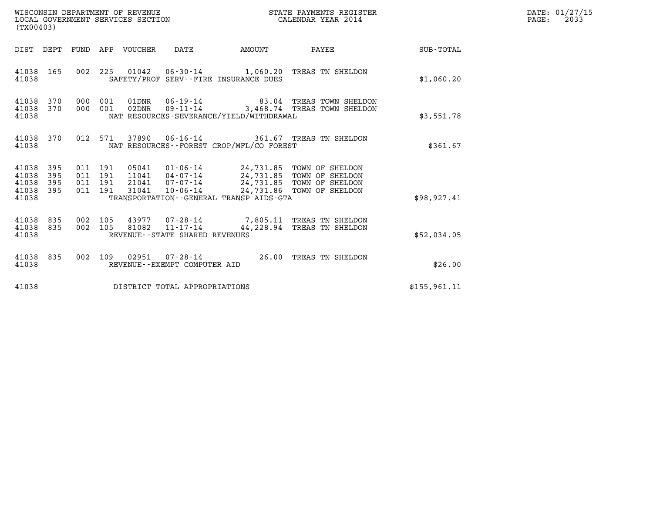| (TX00403)                                                                                                      | WISCONSIN DEPARTMENT OF REVENUE<br>LOCAL GOVERNMENT SERVICES SECTION                                                                                                                                      | STATE PAYMENTS REGISTER<br>STATE PAIRE VEAR 2014 |              | DATE: 01/27/15<br>$\mathtt{PAGE:}$<br>2033 |
|----------------------------------------------------------------------------------------------------------------|-----------------------------------------------------------------------------------------------------------------------------------------------------------------------------------------------------------|--------------------------------------------------|--------------|--------------------------------------------|
| DIST DEPT FUND APP VOUCHER DATE                                                                                |                                                                                                                                                                                                           | AMOUNT PAYEE SUB-TOTAL                           |              |                                            |
| 41038 165<br>41038                                                                                             | 002 225 01042 06-30-14 1,060.20 TREAS TN SHELDON<br>SAFETY/PROF SERV--FIRE INSURANCE DUES                                                                                                                 |                                                  | \$1,060.20   |                                            |
| 41038 370<br>000 001<br>000 001<br>41038<br>370<br>41038                                                       | 01DNR  06-19-14  83.04 TREAS TOWN SHELDON<br>02DNR  09-11-14  3,468.74 TREAS TOWN SHELDON<br>NAT RESOURCES-SEVERANCE/YIELD/WITHDRAWAL                                                                     |                                                  | \$3,551.78   |                                            |
| 012 571<br>41038 370<br>41038                                                                                  | 37890  06-16-14  361.67  TREAS TN SHELDON<br>NAT RESOURCES--FOREST CROP/MFL/CO FOREST                                                                                                                     |                                                  | \$361.67     |                                            |
| 41038 395<br>011 191<br>395<br>011 191<br>41038<br>395<br>011 191<br>41038<br>011 191<br>395<br>41038<br>41038 | 05041  01-06-14  24,731.85  TOWN OF SHELDON<br>11041  04-07-14  24,731.85  TOWN OF SHELDON<br>21041  07-07-14  24,731.85  TOWN OF SHELDON<br>31041<br>10-06-14<br>TRANSPORTATION--GENERAL TRANSP AIDS-GTA | 24,731.86 TOWN OF SHELDON                        | \$98, 927.41 |                                            |
| 002 105<br>41038<br>835<br>002 105<br>41038 835<br>41038                                                       | 43977  07-28-14  7,805.11  TREAS TN SHELDON<br>81082  11-17-14  44,228.94  TREAS TN SHELDON<br>REVENUE--STATE SHARED REVENUES                                                                             |                                                  | \$52,034.05  |                                            |
| 41038 835<br>41038                                                                                             | 002 109 02951 07-28-14 26.00 TREAS TN SHELDON<br>REVENUE--EXEMPT COMPUTER AID                                                                                                                             |                                                  | \$26.00      |                                            |
| 41038                                                                                                          | DISTRICT TOTAL APPROPRIATIONS                                                                                                                                                                             |                                                  | \$155,961.11 |                                            |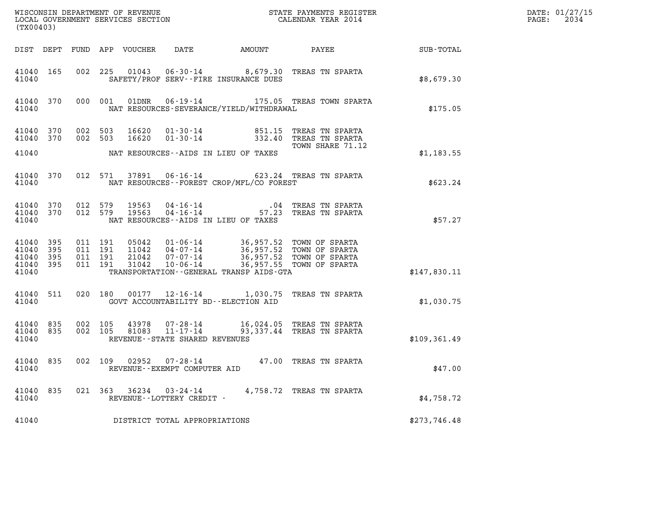|                                                       | (TX00403) |                    |                    |                            |                                                        |                                          |                                                                                                                                                                             |                             | DATE: 01/27/15<br>2034<br>$\mathtt{PAGE:}$ |
|-------------------------------------------------------|-----------|--------------------|--------------------|----------------------------|--------------------------------------------------------|------------------------------------------|-----------------------------------------------------------------------------------------------------------------------------------------------------------------------------|-----------------------------|--------------------------------------------|
|                                                       |           |                    |                    | DIST DEPT FUND APP VOUCHER |                                                        |                                          |                                                                                                                                                                             | DATE AMOUNT PAYEE SUB-TOTAL |                                            |
| 41040 165<br>41040                                    |           |                    |                    |                            |                                                        | SAFETY/PROF SERV--FIRE INSURANCE DUES    | 002 225 01043 06-30-14 8,679.30 TREAS TN SPARTA                                                                                                                             | \$8.679.30                  |                                            |
| 41040 370<br>41040                                    |           |                    | 000 001            |                            |                                                        | NAT RESOURCES-SEVERANCE/YIELD/WITHDRAWAL | 01DNR  06-19-14    175.05    TREAS TOWN SPARTA                                                                                                                              | \$175.05                    |                                            |
| 41040 370<br>41040 370                                |           | 002 503<br>002 503 |                    | 16620<br>16620             |                                                        |                                          | 01-30-14 651.15 TREAS TN SPARTA<br>01-30-14 332.40 TREAS TN SPARTA<br>TOWN SHARE 71.12                                                                                      |                             |                                            |
| 41040                                                 |           |                    |                    |                            |                                                        | NAT RESOURCES--AIDS IN LIEU OF TAXES     |                                                                                                                                                                             | \$1,183.55                  |                                            |
| 41040 370<br>41040                                    |           |                    |                    |                            |                                                        | NAT RESOURCES--FOREST CROP/MFL/CO FOREST | 012 571 37891 06-16-14 623.24 TREAS TN SPARTA                                                                                                                               | \$623.24                    |                                            |
| 41040 370<br>41040 370<br>41040                       |           | 012 579<br>012 579 |                    |                            |                                                        | NAT RESOURCES--AIDS IN LIEU OF TAXES     | 19563  04-16-14   04 TREAS TN SPARTA<br>19563  04-16-14   57.23 TREAS TN SPARTA                                                                                             | \$57.27                     |                                            |
| 41040 395<br>41040 395<br>41040<br>41040 395<br>41040 | - 395     | 011 191<br>011 191 | 011 191<br>011 191 | 31042                      |                                                        | TRANSPORTATION--GENERAL TRANSP AIDS-GTA  | 05042  01-06-14  36,957.52  TOWN OF SPARTA<br>11042  04-07-14  36,957.52  TOWN OF SPARTA<br>21042  07-07-14  36,957.52  TOWN OF SPARTA<br>10-06-14 36,957.55 TOWN OF SPARTA | \$147,830.11                |                                            |
| 41040 511<br>41040                                    |           |                    |                    |                            |                                                        | GOVT ACCOUNTABILITY BD--ELECTION AID     | 020 180 00177 12-16-14 1,030.75 TREAS TN SPARTA                                                                                                                             | \$1,030.75                  |                                            |
| 41040 835<br>41040 835<br>41040                       |           | 002 105            | 002 105            |                            | 81083 11-17-14<br>REVENUE--STATE SHARED REVENUES       |                                          | 43978  07-28-14   16,024.05   TREAS TN SPARTA<br>93,337.44 TREAS TN SPARTA                                                                                                  | \$109, 361.49               |                                            |
| 41040 835<br>41040                                    |           | 002 109            |                    |                            | $02952$ $07 - 28 - 14$<br>REVENUE--EXEMPT COMPUTER AID |                                          | 47.00 TREAS TN SPARTA                                                                                                                                                       | \$47.00                     |                                            |
| 41040<br>41040                                        | 835       |                    |                    |                            | 021 363 36234 03-24-14<br>REVENUE--LOTTERY CREDIT -    |                                          | 4,758.72 TREAS TN SPARTA                                                                                                                                                    | \$4,758.72                  |                                            |
| 41040                                                 |           |                    |                    |                            | DISTRICT TOTAL APPROPRIATIONS                          |                                          |                                                                                                                                                                             | \$273,746.48                |                                            |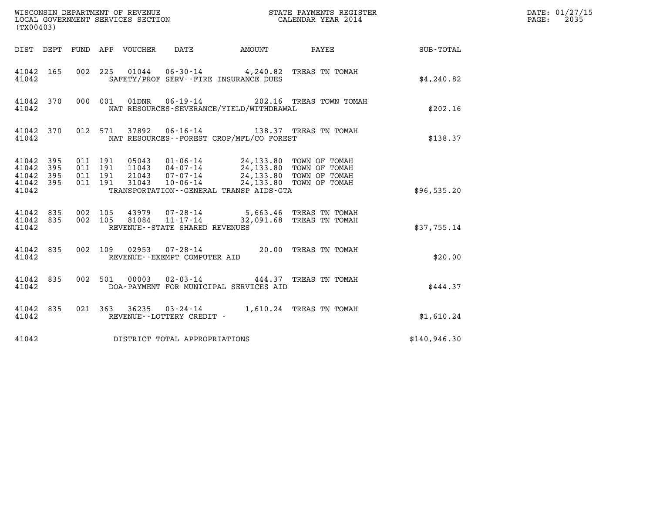| (TX00403)                                                                                                   | WISCONSIN DEPARTMENT OF REVENUE<br>LOCAL GOVERNMENT SERVICES SECTION<br>(TWOO402) CALENDAR YEAR 2014                                                                                                                        |                        |              | DATE: 01/27/15<br>$\mathtt{PAGE:}$<br>2035 |
|-------------------------------------------------------------------------------------------------------------|-----------------------------------------------------------------------------------------------------------------------------------------------------------------------------------------------------------------------------|------------------------|--------------|--------------------------------------------|
|                                                                                                             | DIST DEPT FUND APP VOUCHER DATE                                                                                                                                                                                             | AMOUNT PAYEE SUB-TOTAL |              |                                            |
| 41042 165<br>41042                                                                                          | 002 225 01044 06-30-14 4,240.82 TREAS TN TOMAH<br>SAFETY/PROF SERV--FIRE INSURANCE DUES                                                                                                                                     |                        | \$4,240.82   |                                            |
| 000 001<br>41042 370<br>41042                                                                               | 01DNR  06-19-14  202.16 TREAS TOWN TOMAH<br>NAT RESOURCES-SEVERANCE/YIELD/WITHDRAWAL                                                                                                                                        |                        | \$202.16     |                                            |
| 41042 370<br>41042                                                                                          | 012 571 37892 06-16-14 138.37 TREAS TN TOMAH<br>NAT RESOURCES--FOREST CROP/MFL/CO FOREST                                                                                                                                    |                        | \$138.37     |                                            |
| 41042 395<br>011 191<br>395<br>011 191<br>41042<br>011 191<br>41042<br>395<br>011 191<br>41042 395<br>41042 | 05043  01-06-14  24,133.80  TOWN OF TOMAH<br>11043  04-07-14  24,133.80  TOWN OF TOMAH<br>21043  07-07-14  24,133.80  TOWN OF TOMAH<br>31043  10-06-14  24,133.80  TOWN OF TOMAH<br>TRANSPORTATION--GENERAL TRANSP AIDS-GTA |                        | \$96,535.20  |                                            |
| 41042 835<br>002 105<br>002 105<br>41042 835<br>41042                                                       | 43979   07-28-14   5,663.46 TREAS TN TOMAH<br>81084   11-17-14   32,091.68 TREAS TN TOMAH<br>REVENUE - - STATE SHARED REVENUES                                                                                              |                        | \$37,755.14  |                                            |
| 41042 835<br>41042                                                                                          | 002 109 02953 07-28-14 20.00 TREAS TN TOMAH<br>REVENUE--EXEMPT COMPUTER AID                                                                                                                                                 |                        | \$20.00      |                                            |
| 41042 835<br>41042                                                                                          | 002 501 00003 02-03-14 444.37 TREAS TN TOMAH<br>DOA-PAYMENT FOR MUNICIPAL SERVICES AID                                                                                                                                      |                        | \$444.37     |                                            |
| 41042 835<br>41042                                                                                          | 021 363 36235 03-24-14 1,610.24 TREAS TN TOMAH<br>REVENUE--LOTTERY CREDIT -                                                                                                                                                 |                        | \$1,610.24   |                                            |
| 41042                                                                                                       | DISTRICT TOTAL APPROPRIATIONS                                                                                                                                                                                               |                        | \$140,946.30 |                                            |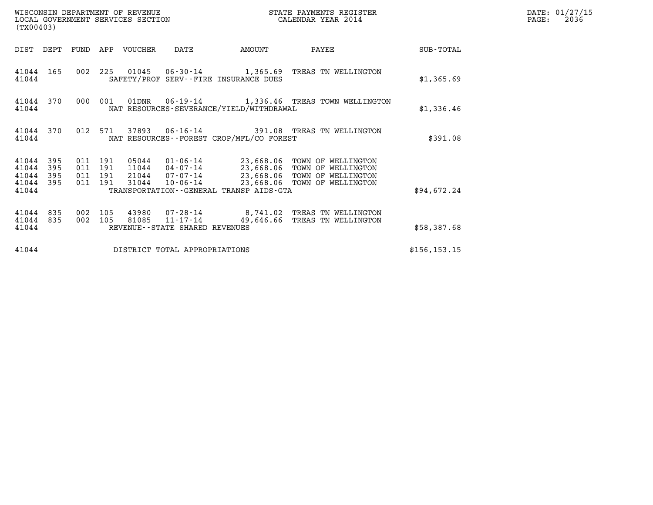|                                           | WISCONSIN DEPARTMENT OF REVENUE<br>STATE PAYMENTS REGISTER<br>LOCAL GOVERNMENT SERVICES SECTION<br>CALENDAR YEAR 2014<br>(TX00403) |                                          |            |                |                                                  |                                             |                                                                                                                                       |               | DATE: 01/27/15<br>PAGE:<br>2036 |
|-------------------------------------------|------------------------------------------------------------------------------------------------------------------------------------|------------------------------------------|------------|----------------|--------------------------------------------------|---------------------------------------------|---------------------------------------------------------------------------------------------------------------------------------------|---------------|---------------------------------|
| DIST DEPT                                 |                                                                                                                                    | FUND                                     |            | APP VOUCHER    | DATE                                             | AMOUNT                                      | PAYEE                                                                                                                                 | SUB-TOTAL     |                                 |
| 41044 165<br>41044                        |                                                                                                                                    |                                          |            |                |                                                  | SAFETY/PROF SERV--FIRE INSURANCE DUES       | 002 225 01045 06-30-14 1,365.69 TREAS TN WELLINGTON                                                                                   | \$1,365.69    |                                 |
| 41044                                     | 41044 370                                                                                                                          | 000                                      | 001        |                |                                                  | NAT RESOURCES-SEVERANCE/YIELD/WITHDRAWAL    | 01DNR  06-19-14   1,336.46 TREAS TOWN WELLINGTON                                                                                      | \$1,336.46    |                                 |
| 41044                                     | 41044 370                                                                                                                          | 012 571                                  |            | 37893          |                                                  | NAT RESOURCES - - FOREST CROP/MFL/CO FOREST | 06-16-14 391.08 TREAS TN WELLINGTON                                                                                                   | \$391.08      |                                 |
| 41044<br>41044<br>41044<br>41044<br>41044 | 395<br>395<br>395<br>395                                                                                                           | 011 191<br>011 191<br>011 191<br>011 191 |            | 05044<br>31044 | 11044 04-07-14<br>21044 07-07-14<br>10-06-14     | TRANSPORTATION--GENERAL TRANSP AIDS-GTA     | 01-06-14 23,668.06 TOWN OF WELLINGTON<br>23,668.06 TOWN OF WELLINGTON<br>23,668.06 TOWN OF WELLINGTON<br>23,668.06 TOWN OF WELLINGTON | \$94,672.24   |                                 |
| 41044<br>41044<br>41044                   | 835<br>835                                                                                                                         | 002<br>002                               | 105<br>105 | 81085          | $11 - 17 - 14$<br>REVENUE--STATE SHARED REVENUES | 49,646.66                                   | 43980  07-28-14  8,741.02  TREAS TN WELLINGTON<br>TREAS TN WELLINGTON                                                                 | \$58,387.68   |                                 |
| 41044                                     |                                                                                                                                    |                                          |            |                | DISTRICT TOTAL APPROPRIATIONS                    |                                             |                                                                                                                                       | \$156, 153.15 |                                 |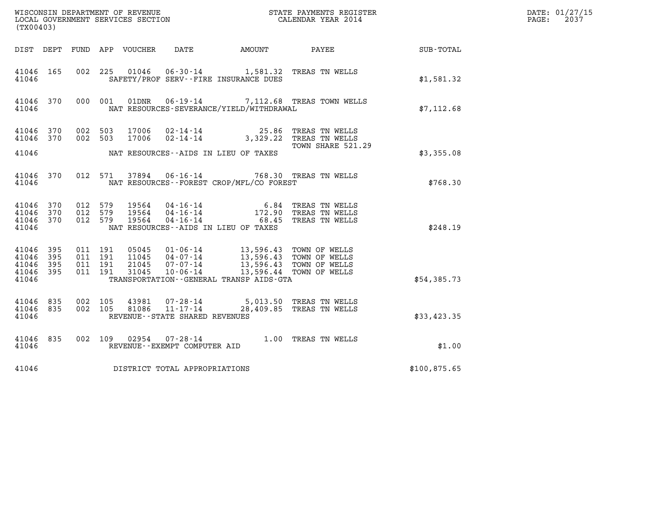| (TX00403)                                                     |                           |                                                                              |                                       |                                                                                                                                                                                         | WISCONSIN DEPARTMENT OF REVENUE                               STATE PAYMENTS REGISTER LOCAL GOVERNMENT SERVICES SECTION                                 CALENDAR YEAR 2014 |              | DATE: 01/27/15<br>$\mathtt{PAGE}$ :<br>2037 |
|---------------------------------------------------------------|---------------------------|------------------------------------------------------------------------------|---------------------------------------|-----------------------------------------------------------------------------------------------------------------------------------------------------------------------------------------|----------------------------------------------------------------------------------------------------------------------------------------------------------------------------|--------------|---------------------------------------------|
|                                                               |                           |                                                                              |                                       |                                                                                                                                                                                         | DIST DEPT FUND APP VOUCHER DATE AMOUNT PAYEE SUB-TOTAL                                                                                                                     |              |                                             |
| 41046 165<br>41046                                            |                           |                                                                              | SAFETY/PROF SERV--FIRE INSURANCE DUES | 002 225 01046 06-30-14 1,581.32 TREAS TN WELLS                                                                                                                                          |                                                                                                                                                                            | \$1,581.32   |                                             |
| 41046 370<br>41046                                            |                           | 000 001                                                                      |                                       | NAT RESOURCES-SEVERANCE/YIELD/WITHDRAWAL                                                                                                                                                | 01DNR  06-19-14  7,112.68 TREAS TOWN WELLS                                                                                                                                 | \$7.112.68   |                                             |
| 41046 370<br>41046 370                                        |                           | 002 503<br>17006<br>002 503<br>17006                                         |                                       | 02-14-14<br>02-14-14 02-14-14 3,329.22 TREAS TN WELLS                                                                                                                                   | TOWN SHARE 521.29                                                                                                                                                          |              |                                             |
| 41046                                                         |                           |                                                                              | NAT RESOURCES--AIDS IN LIEU OF TAXES  |                                                                                                                                                                                         |                                                                                                                                                                            | \$3,355.08   |                                             |
| 41046                                                         |                           |                                                                              |                                       | 41046 370 012 571 37894 06-16-14 768.30 TREAS TN WELLS<br>NAT RESOURCES - - FOREST CROP/MFL/CO FOREST                                                                                   |                                                                                                                                                                            | \$768.30     |                                             |
| 41046 370<br>41046<br>41046 370<br>41046                      | 012 579<br>012 579<br>370 | 012 579                                                                      | NAT RESOURCES--AIDS IN LIEU OF TAXES  | 19564  04-16-14   6.84   TREAS TN WELLS<br>19564  04-16-14   172.90   TREAS TN WELLS<br>19564  04-16-14   68.45   TREAS TN WELLS                                                        |                                                                                                                                                                            | \$248.19     |                                             |
| 41046<br>- 395<br>395<br>41046<br>41046<br>41046 395<br>41046 | 395                       | 011 191<br>05045<br>011 191<br>11045<br>011 191<br>21045<br>011 191<br>31045 |                                       | 01-06-14 13,596.43 TOWN OF WELLS<br>04-07-14 13,596.43 TOWN OF WELLS<br>07-07-14 13,596.43 TOWN OF WELLS<br>10-06-14 13,596.44 TOWN OF WELLS<br>TRANSPORTATION--GENERAL TRANSP AIDS-GTA |                                                                                                                                                                            | \$54,385.73  |                                             |
| 41046 835<br>41046 835<br>41046                               |                           | 002 105<br>002 105                                                           | REVENUE - - STATE SHARED REVENUES     | 43981  07-28-14  5,013.50 TREAS TN WELLS<br>81086  11-17-14  28,409.85 TREAS TN WELLS                                                                                                   |                                                                                                                                                                            | \$33,423.35  |                                             |
| 41046 835<br>41046                                            |                           |                                                                              | REVENUE--EXEMPT COMPUTER AID          | 002 109 02954 07-28-14 1.00 TREAS TN WELLS                                                                                                                                              |                                                                                                                                                                            | \$1.00       |                                             |
| 41046                                                         |                           |                                                                              | DISTRICT TOTAL APPROPRIATIONS         |                                                                                                                                                                                         |                                                                                                                                                                            | \$100,875.65 |                                             |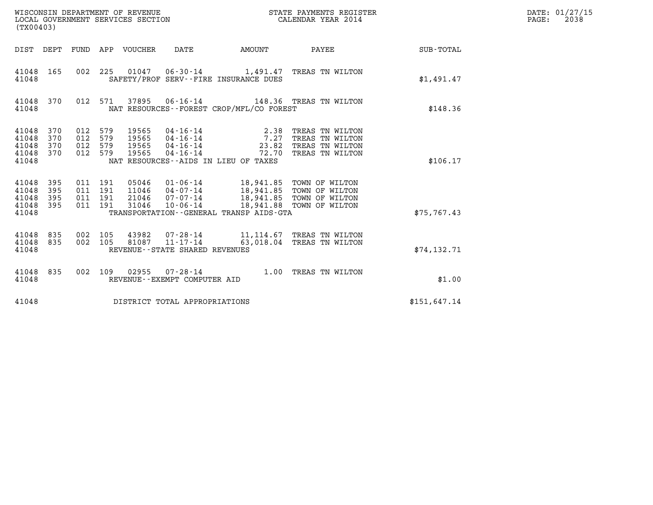|                                           | WISCONSIN DEPARTMENT OF REVENUE<br>LOCAL GOVERNMENT SERVICES SECTION<br>(TX00403) |                                          |     |                                  |                                                                 |                                                                                                                                                         | STATE PAYMENTS REGISTER<br>CALENDAR YEAR 2014                            |              | DATE: 01/27/15<br>2038<br>$\mathtt{PAGE}$ : |
|-------------------------------------------|-----------------------------------------------------------------------------------|------------------------------------------|-----|----------------------------------|-----------------------------------------------------------------|---------------------------------------------------------------------------------------------------------------------------------------------------------|--------------------------------------------------------------------------|--------------|---------------------------------------------|
|                                           |                                                                                   |                                          |     | DIST DEPT FUND APP VOUCHER       | DATE                                                            | AMOUNT                                                                                                                                                  | PAYEE                                                                    | SUB-TOTAL    |                                             |
| 41048 165<br>41048                        |                                                                                   | 002 225                                  |     | 01047                            |                                                                 | SAFETY/PROF SERV--FIRE INSURANCE DUES                                                                                                                   | 06-30-14 1,491.47 TREAS TN WILTON                                        | \$1,491.47   |                                             |
| 41048 370<br>41048                        |                                                                                   | 012 571                                  |     |                                  |                                                                 | NAT RESOURCES -- FOREST CROP/MFL/CO FOREST                                                                                                              | 37895  06-16-14  148.36  TREAS TN WILTON                                 | \$148.36     |                                             |
| 41048<br>41048<br>41048<br>41048<br>41048 | 370<br>370<br>370<br>370                                                          | 012 579<br>012<br>012 579<br>012 579     | 579 | 19565<br>19565<br>19565<br>19565 | 04 - 16 - 14<br>04 - 16 - 14<br>$04 - 16 - 14$<br>04-16-14      | 2.38<br>7.27<br>23.82<br>72.70<br>NAT RESOURCES--AIDS IN LIEU OF TAXES                                                                                  | TREAS TN WILTON<br>TREAS TN WILTON<br>TREAS TN WILTON<br>TREAS TN WILTON | \$106.17     |                                             |
| 41048<br>41048<br>41048<br>41048<br>41048 | 395<br>395<br>395<br>395                                                          | 011 191<br>011 191<br>011 191<br>011 191 |     | 31046                            | 05046 01-06-14<br>11046  04-07-14<br>21046 07-07-14<br>10-06-14 | 18,941.85 TOWN OF WILTON<br>18,941.85 TOWN OF WILTON<br>18,941.85 TOWN OF WILTON<br>18,941.88 TOWN OF WILTON<br>TRANSPORTATION--GENERAL TRANSP AIDS-GTA |                                                                          | \$75,767.43  |                                             |
| 41048<br>41048<br>41048                   | 835<br>835                                                                        | 002 105<br>002 105                       |     | 43982<br>81087                   | 11-17-14<br>REVENUE - - STATE SHARED REVENUES                   |                                                                                                                                                         | 07-28-14 11,114.67 TREAS TN WILTON<br>63,018.04 TREAS TN WILTON          | \$74, 132.71 |                                             |
| 41048 835<br>41048                        |                                                                                   | 002 109                                  |     | 02955                            | REVENUE--EXEMPT COMPUTER AID                                    |                                                                                                                                                         | 07-28-14 1.00 TREAS TN WILTON                                            | \$1.00       |                                             |
| 41048                                     |                                                                                   |                                          |     |                                  | DISTRICT TOTAL APPROPRIATIONS                                   |                                                                                                                                                         |                                                                          | \$151,647.14 |                                             |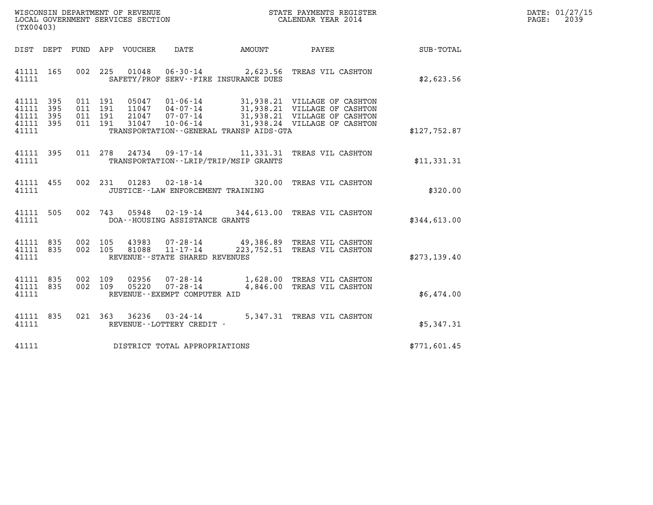| WISCONSIN DEPARTMENT OF REVENUE   | STATE PAYMENTS REGISTER | DATE: 01/27/15 |
|-----------------------------------|-------------------------|----------------|
| LOCAL GOVERNMENT SERVICES SECTION | CALENDAR YEAR 2014      | 2039<br>PAGE:  |

| (TX00403)                                                       |                               |                                                                                                                                                                                                                                                                                                                                                                                                   |                            |              |
|-----------------------------------------------------------------|-------------------------------|---------------------------------------------------------------------------------------------------------------------------------------------------------------------------------------------------------------------------------------------------------------------------------------------------------------------------------------------------------------------------------------------------|----------------------------|--------------|
| DIST DEPT                                                       | FUND APP VOUCHER DATE         | AMOUNT                                                                                                                                                                                                                                                                                                                                                                                            | PAYEE                      | SUB-TOTAL    |
| 41111 165<br>41111                                              |                               | 002 225 01048 06-30-14 2,623.56 TREAS VIL CASHTON<br>SAFETY/PROF SERV--FIRE INSURANCE DUES                                                                                                                                                                                                                                                                                                        |                            | \$2,623.56   |
| 41111 395<br>41111<br>395<br>41111<br>395<br>41111 395<br>41111 |                               | $\begin{array}{cccc} 011 & 191 & 05047 & 01\cdot 06\cdot 14 & 31,938.21 & \text{VILLAGE OF CASTTON} \\ 011 & 191 & 11047 & 04\cdot 07\cdot 14 & 31,938.21 & \text{VILLAGE OF CASTTON} \\ 011 & 191 & 21047 & 07\cdot 07\cdot 14 & 31,938.21 & \text{VILLAGE OF CASTTON} \\ 011 & 191 & 31047 & 10\cdot 06\cdot 14 & 31,938.24 & \text{VILLAGE OF CAST$<br>TRANSPORTATION--GENERAL TRANSP AIDS-GTA |                            | \$127,752.87 |
| 41111 395<br>41111                                              |                               | 011 278 24734 09-17-14 11,331.31 TREAS VIL CASHTON<br>TRANSPORTATION - - LRIP/TRIP/MSIP GRANTS                                                                                                                                                                                                                                                                                                    |                            | \$11,331.31  |
| 41111 455<br>41111                                              | 002 231                       | $01283$ $02 - 18 - 14$<br>320.00<br>JUSTICE - - LAW ENFORCEMENT TRAINING                                                                                                                                                                                                                                                                                                                          | TREAS VIL CASHTON          | \$320.00     |
| 505<br>41111<br>41111                                           | 002 743                       | 05948 02-19-14 344,613.00<br>DOA--HOUSING ASSISTANCE GRANTS                                                                                                                                                                                                                                                                                                                                       | TREAS VIL CASHTON          | \$344,613.00 |
| 41111 835<br>41111 835<br>41111                                 |                               | 002 105 43983 07-28-14 49,386.89 TREAS VIL CASHTON<br>002 105 81088 11-17-14 223,752.51 TREAS VIL CASHTON<br>REVENUE - - STATE SHARED REVENUES                                                                                                                                                                                                                                                    |                            | \$273,139.40 |
| 41111 835<br>41111 835<br>41111                                 | 002 109<br>002 109<br>05220   | 02956 07-28-14 1,628.00 TREAS VIL CASHTON<br>05220 07-28-14 4.846.00 TREAS VIL CASHTON<br>$07 - 28 - 14$<br>REVENUE--EXEMPT COMPUTER AID                                                                                                                                                                                                                                                          | 4,846.00 TREAS VIL CASHTON | \$6,474.00   |
| 41111 835<br>41111                                              | 021 363                       | $36236$ $03 - 24 - 14$<br>REVENUE--LOTTERY CREDIT -                                                                                                                                                                                                                                                                                                                                               | 5,347.31 TREAS VIL CASHTON | \$5,347.31   |
| 41111                                                           | DISTRICT TOTAL APPROPRIATIONS |                                                                                                                                                                                                                                                                                                                                                                                                   |                            | \$771,601.45 |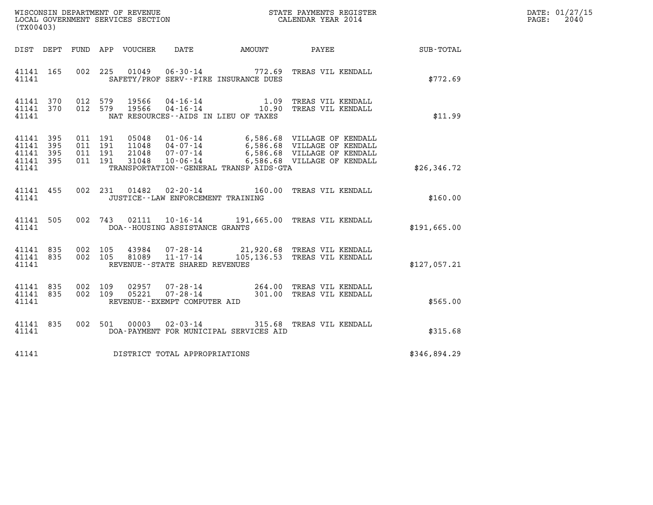| (TX00403)                                    |                                |                    |                    |                |                                      |                                         |                                                                                                                                                                                                                     |              | DATE: 01/27/15<br>PAGE: 2040 |
|----------------------------------------------|--------------------------------|--------------------|--------------------|----------------|--------------------------------------|-----------------------------------------|---------------------------------------------------------------------------------------------------------------------------------------------------------------------------------------------------------------------|--------------|------------------------------|
|                                              |                                |                    |                    |                |                                      |                                         | DIST DEPT FUND APP VOUCHER DATE AMOUNT PAYEE SUB-TOTAL                                                                                                                                                              |              |                              |
| 41141                                        | 41141 165                      |                    |                    |                |                                      | SAFETY/PROF SERV--FIRE INSURANCE DUES   | 002 225 01049 06-30-14 772.69 TREAS VIL KENDALL                                                                                                                                                                     | \$772.69     |                              |
| 41141                                        |                                |                    |                    |                |                                      | NAT RESOURCES--AIDS IN LIEU OF TAXES    | $\begin{array}{cccc} 41141 & 370 & 012 & 579 & 19566 & 04\cdot 16\cdot 14 & 1.09 & \text{TREAS VIL KENDALL} \\ 41141 & 370 & 012 & 579 & 19566 & 04\cdot 16\cdot 14 & 10.90 & \text{TREAS VIL KENDALL} \end{array}$ | \$11.99      |                              |
| 41141 395<br>41141 395<br>41141 395<br>41141 | 41141 395                      | 011 191<br>011 191 | 011 191<br>011 191 |                |                                      | TRANSPORTATION--GENERAL TRANSP AIDS-GTA | 05048  01-06-14  6,586.68  VILLAGE OF KENDALL<br>11048  04-07-14  6,586.68  VILLAGE OF KENDALL<br>21048  07-07-14  6,586.68  VILLAGE OF KENDALL<br>31048  10-06-14  6,586.68  VILLAGE OF KENDALL                    | \$26,346.72  |                              |
|                                              | 41141                          |                    |                    |                | JUSTICE -- LAW ENFORCEMENT TRAINING  |                                         | 41141 455 002 231 01482 02-20-14 160.00 TREAS VIL KENDALL                                                                                                                                                           | \$160.00     |                              |
|                                              |                                |                    |                    |                | 41141 DOA--HOUSING ASSISTANCE GRANTS |                                         | 41141 505 002 743 02111 10-16-14 191,665.00 TREAS VIL KENDALL                                                                                                                                                       | \$191,665.00 |                              |
| 41141                                        | 41141 835 002 105<br>41141 835 |                    |                    |                | REVENUE--STATE SHARED REVENUES       |                                         | 002 105 43984 07-28-14 21,920.68 TREAS VIL KENDALL<br>002 105 81089 11-17-14 105,136.53 TREAS VIL KENDALL                                                                                                           | \$127,057.21 |                              |
| 41141 835<br>41141 835<br>41141              |                                | 002 109            | 002 109            | 02957<br>05221 | REVENUE--EXEMPT COMPUTER AID         |                                         | 07-28-14 264.00 TREAS VIL KENDALL<br>07-28-14 301.00 TREAS VIL KENDALL                                                                                                                                              | \$565.00     |                              |
| 41141                                        | 41141 835                      |                    |                    |                |                                      | DOA-PAYMENT FOR MUNICIPAL SERVICES AID  | 002 501 00003 02-03-14 315.68 TREAS VIL KENDALL                                                                                                                                                                     | \$315.68     |                              |
| 41141                                        |                                |                    |                    |                | DISTRICT TOTAL APPROPRIATIONS        |                                         |                                                                                                                                                                                                                     | \$346,894.29 |                              |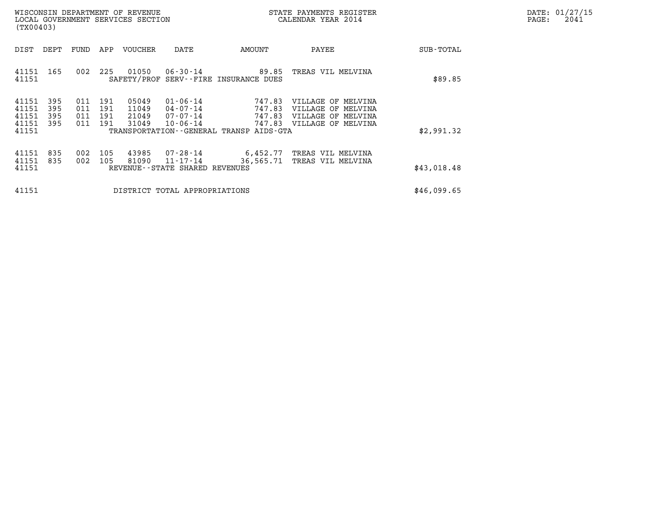|       | DATE: 01/27/15 |
|-------|----------------|
| PAGE: | 2041           |

| (TX00403)                                 |                          |                          |                          | WISCONSIN DEPARTMENT OF REVENUE<br>LOCAL GOVERNMENT SERVICES SECTION |                                                                | STATE PAYMENTS REGISTER<br>CALENDAR YEAR 2014                                        |                                                                                      |             | DATE: 01/27/15<br>PAGE:<br>2041 |
|-------------------------------------------|--------------------------|--------------------------|--------------------------|----------------------------------------------------------------------|----------------------------------------------------------------|--------------------------------------------------------------------------------------|--------------------------------------------------------------------------------------|-------------|---------------------------------|
| DIST                                      | DEPT                     | FUND                     | APP                      | VOUCHER                                                              | DATE                                                           | AMOUNT                                                                               | PAYEE                                                                                | SUB-TOTAL   |                                 |
| 41151<br>41151                            | 165                      | 002                      | 225                      | 01050<br>SAFETY/PROF                                                 | $06 - 30 - 14$                                                 | 89.85<br>SERV--FIRE INSURANCE DUES                                                   | TREAS VIL MELVINA                                                                    | \$89.85     |                                 |
| 41151<br>41151<br>41151<br>41151<br>41151 | 395<br>395<br>395<br>395 | 011<br>011<br>011<br>011 | 191<br>191<br>191<br>191 | 05049<br>11049<br>21049<br>31049                                     | $01 - 06 - 14$<br>04-07-14<br>$07 - 07 - 14$<br>$10 - 06 - 14$ | 747.83<br>747.83<br>747.83<br>747.83<br>TRANSPORTATION - - GENERAL TRANSP AIDS - GTA | VILLAGE OF MELVINA<br>VILLAGE OF MELVINA<br>VILLAGE OF MELVINA<br>VILLAGE OF MELVINA | \$2,991.32  |                                 |
| 41151<br>41151<br>41151                   | 835<br>835               | 002<br>002               | 105<br>105               | 43985<br>81090                                                       | 07-28-14<br>11-17-14<br>REVENUE--STATE SHARED REVENUES         | 6,452.77<br>36,565.71                                                                | TREAS VIL MELVINA<br>TREAS VIL MELVINA                                               | \$43,018.48 |                                 |
| 41151                                     |                          |                          |                          |                                                                      | DISTRICT TOTAL APPROPRIATIONS                                  | \$46,099.65                                                                          |                                                                                      |             |                                 |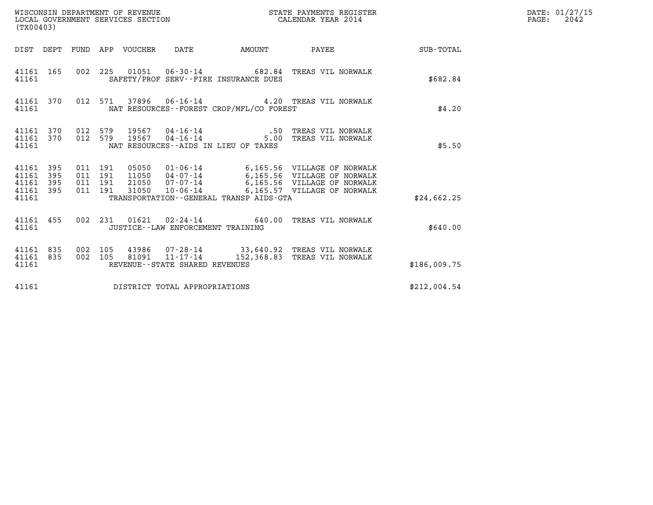| (TX00403)                                              |  |                                          |       |                                                  |                                             |                                                                                                                                                                                                  |              | DATE: 01/27/15<br>$\mathtt{PAGE:}$<br>2042 |
|--------------------------------------------------------|--|------------------------------------------|-------|--------------------------------------------------|---------------------------------------------|--------------------------------------------------------------------------------------------------------------------------------------------------------------------------------------------------|--------------|--------------------------------------------|
| DIST DEPT FUND APP VOUCHER DATE                        |  |                                          |       |                                                  |                                             | AMOUNT PAYEE SUB-TOTAL                                                                                                                                                                           |              |                                            |
| 41161 165<br>41161                                     |  |                                          |       |                                                  | SAFETY/PROF SERV--FIRE INSURANCE DUES       | 002 225 01051 06-30-14 682.84 TREAS VIL NORWALK                                                                                                                                                  | \$682.84     |                                            |
| 41161 370<br>41161                                     |  |                                          |       |                                                  | NAT RESOURCES - - FOREST CROP/MFL/CO FOREST | 012 571 37896 06-16-14 4.20 TREAS VIL NORWALK                                                                                                                                                    | \$4.20       |                                            |
| 41161 370<br>41161 370<br>41161                        |  |                                          |       |                                                  | NAT RESOURCES--AIDS IN LIEU OF TAXES        | 012 579 19567 04-16-14 16.10 .50 TREAS VIL NORWALK<br>012 579 19567 04-16-14 16.00 TREAS VIL NORWALK                                                                                             | \$5.50       |                                            |
| 41161 395<br>41161<br>395<br>41161<br>395<br>41161 395 |  | 011 191<br>011 191<br>011 191<br>011 191 |       |                                                  |                                             | 05050  01-06-14  6,165.56  VILLAGE OF NORWALK<br>11050  04-07-14  6,165.56  VILLAGE OF NORWALK<br>21050  07-07-14  6,165.56  VILLAGE OF NORWALK<br>31050  10-06-14  6,165.57  VILLAGE OF NORWALK |              |                                            |
| 41161                                                  |  |                                          |       |                                                  | TRANSPORTATION--GENERAL TRANSP AIDS-GTA     |                                                                                                                                                                                                  | \$24,662.25  |                                            |
| 41161 455<br>41161                                     |  |                                          |       |                                                  | JUSTICE -- LAW ENFORCEMENT TRAINING         | 002 231 01621 02-24-14 640.00 TREAS VIL NORWALK                                                                                                                                                  | \$640.00     |                                            |
| 41161 835<br>41161 835<br>41161                        |  | 002 105<br>002 105                       | 81091 | $11 - 17 - 14$<br>REVENUE--STATE SHARED REVENUES |                                             | 43986  07-28-14  33,640.92  TREAS VIL NORWALK<br>152,368.83 TREAS VIL NORWALK                                                                                                                    | \$186,009.75 |                                            |
| 41161                                                  |  |                                          |       | DISTRICT TOTAL APPROPRIATIONS                    |                                             |                                                                                                                                                                                                  | \$212,004.54 |                                            |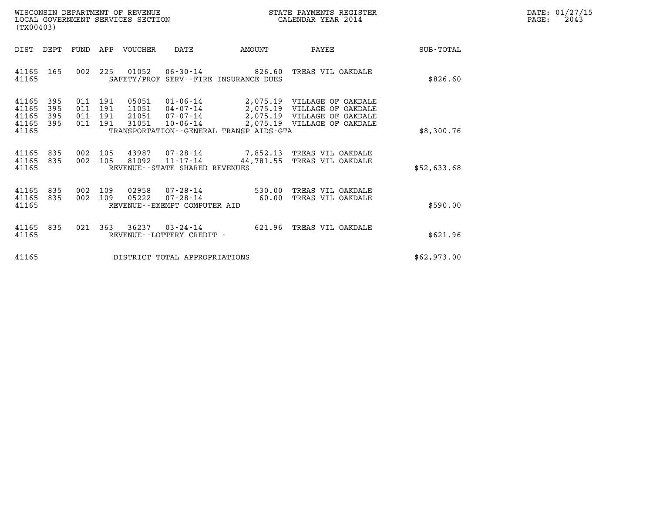| WISCONSIN DEPARTMENT OF REVENUE   | STATE PAYMENTS REGISTER | DATE: 01/27/15 |
|-----------------------------------|-------------------------|----------------|
| LOCAL GOVERNMENT SERVICES SECTION | CALENDAR YEAR 2014      | 2043<br>PAGE:  |

| (TX00403)                                                                                         | WISCONSIN DEPARTMENT OF REVENUE<br>STATE PAYMENTS REGISTER<br>LOCAL GOVERNMENT SERVICES SECTION<br>CALENDAR YEAR 2014 |                                                                                                                                                                               |             |  |  |  |  |  |
|---------------------------------------------------------------------------------------------------|-----------------------------------------------------------------------------------------------------------------------|-------------------------------------------------------------------------------------------------------------------------------------------------------------------------------|-------------|--|--|--|--|--|
| DIST<br>DEPT<br>FUND                                                                              | APP<br>VOUCHER<br>DATE                                                                                                | AMOUNT<br>PAYEE                                                                                                                                                               | SUB-TOTAL   |  |  |  |  |  |
| 165<br>002<br>41165<br>41165                                                                      | 225<br>SAFETY/PROF SERV--FIRE INSURANCE DUES                                                                          |                                                                                                                                                                               | \$826.60    |  |  |  |  |  |
| 41165<br>395<br>011<br>41165<br>395<br>011<br>41165<br>395<br>011<br>395<br>011<br>41165<br>41165 | 05051<br>191<br>191<br>191<br>191<br>31051<br>TRANSPORTATION--GENERAL TRANSP AIDS-GTA                                 | 01-06-14 2,075.19 VILLAGE OF OAKDALE<br>11051  04-07-14  2,075.19  VILLAGE OF OAKDALE<br>21051  07-07-14  2,075.19 VILLAGE OF OAKDALE<br>10-06-14 2,075.19 VILLAGE OF OAKDALE | \$8,300.76  |  |  |  |  |  |
| 835<br>41165<br>002<br>835<br>002<br>41165<br>41165                                               | 105<br>105<br>81092<br>REVENUE - - STATE SHARED REVENUES                                                              | 11-17-14 44,781.55 TREAS VIL OAKDALE                                                                                                                                          | \$52,633.68 |  |  |  |  |  |
| 835<br>41165<br>002<br>41165<br>835<br>002<br>41165                                               | 109<br>02958 07-28-14 530.00<br>05222 07-28-14 60.00<br>109<br>REVENUE--EXEMPT COMPUTER AID                           | TREAS VIL OAKDALE<br>TREAS VIL OAKDALE                                                                                                                                        | \$590.00    |  |  |  |  |  |
| 41165<br>835<br>021<br>41165                                                                      | 363<br>36237<br>$03 - 24 - 14$ 621.96<br>REVENUE - - LOTTERY CREDIT -                                                 | TREAS VIL OAKDALE                                                                                                                                                             | \$621.96    |  |  |  |  |  |
| 41165                                                                                             | DISTRICT TOTAL APPROPRIATIONS                                                                                         |                                                                                                                                                                               | \$62,973.00 |  |  |  |  |  |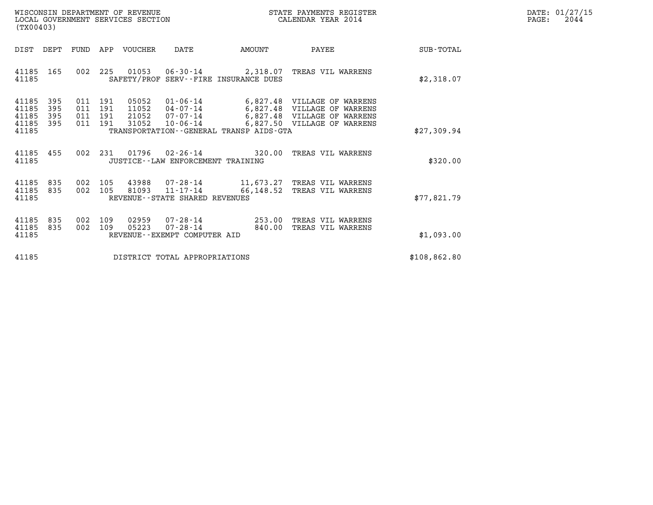| WISCONSIN DEPARTMENT OF REVENUE   | STATE PAYMENTS REGISTER | DATE: 01/27/15 |
|-----------------------------------|-------------------------|----------------|
| LOCAL GOVERNMENT SERVICES SECTION | CALENDAR YEAR 2014      | 2044<br>PAGE:  |

| WISCONSIN DEPARTMENT OF REVENUE<br>(TX00403)                                                      | LOCAL GOVERNMENT SERVICES SECTION                                                                                                                       |                                                                                                                                   |              |
|---------------------------------------------------------------------------------------------------|---------------------------------------------------------------------------------------------------------------------------------------------------------|-----------------------------------------------------------------------------------------------------------------------------------|--------------|
| DIST<br>DEPT<br>FUND                                                                              | VOUCHER<br>DATE<br>APP                                                                                                                                  | AMOUNT<br>PAYEE                                                                                                                   | SUB-TOTAL    |
| 165<br>002<br>41185<br>41185                                                                      | SAFETY/PROF SERV--FIRE INSURANCE DUES                                                                                                                   | 225 01053 06-30-14 2,318.07 TREAS VIL WARRENS                                                                                     | \$2,318.07   |
| 41185<br>395<br>011<br>395<br>41185<br>011<br>41185<br>395<br>011<br>395<br>41185<br>011<br>41185 | 05052<br>191<br>191<br>11052<br>04-07-14<br>21052<br>$07 - 07 - 14$<br>191<br>31052<br>$10 - 06 - 14$<br>191<br>TRANSPORTATION--GENERAL TRANSP AIDS-GTA | 01-06-14 6,827.48 VILLAGE OF WARRENS<br>6,827.48 VILLAGE OF WARRENS<br>6,827.48 VILLAGE OF WARRENS<br>6,827.50 VILLAGE OF WARRENS | \$27,309.94  |
| 002<br>41185<br>455<br>41185                                                                      | 231 01796 02-26-14 320.00<br>JUSTICE - - LAW ENFORCEMENT TRAINING                                                                                       | TREAS VIL WARRENS                                                                                                                 | \$320.00     |
| 41185<br>835<br>002<br>41185<br>835<br>002<br>41185                                               | 105<br>105<br>REVENUE--STATE SHARED REVENUES                                                                                                            | 43988   07-28-14   11,673.27   TREAS   VIL WARRENS<br>81093   11-17-14   66,148.52   TREAS   VIL WARRENS                          | \$77,821.79  |
| 835<br>41185<br>002<br>002<br>41185<br>835<br>41185                                               | 02959<br>109<br>109<br>05223<br>$07 - 28 - 14$ 840.00<br>REVENUE--EXEMPT COMPUTER AID                                                                   | 07-28-14 253.00 TREAS VIL WARRENS<br>TREAS VIL WARRENS                                                                            | \$1,093.00   |
| 41185                                                                                             | DISTRICT TOTAL APPROPRIATIONS                                                                                                                           |                                                                                                                                   | \$108,862.80 |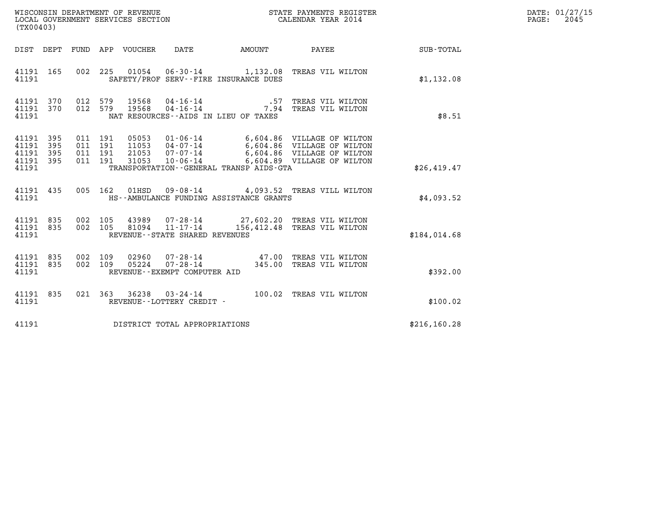| (TX00403)                                 |                          |                                          |                                 |                                                     |                                         | WISCONSIN DEPARTMENT OF REVENUE<br>LOCAL GOVERNMENT SERVICES SECTION<br>CALENDAR YEAR 2014                                                                                 |                      | DATE: 01/27/15<br>$\mathtt{PAGE:}$<br>2045 |
|-------------------------------------------|--------------------------|------------------------------------------|---------------------------------|-----------------------------------------------------|-----------------------------------------|----------------------------------------------------------------------------------------------------------------------------------------------------------------------------|----------------------|--------------------------------------------|
|                                           |                          |                                          | DIST DEPT FUND APP VOUCHER DATE |                                                     | AMOUNT PAYEE                            |                                                                                                                                                                            | $\texttt{SUB-TOTAL}$ |                                            |
| 41191 165<br>41191                        |                          |                                          |                                 |                                                     | SAFETY/PROF SERV--FIRE INSURANCE DUES   | 002 225 01054 06-30-14 1,132.08 TREAS VIL WILTON                                                                                                                           | \$1,132.08           |                                            |
| 41191 370<br>41191 370<br>41191           |                          | 012 579<br>012 579                       | 19568<br>19568                  |                                                     | NAT RESOURCES--AIDS IN LIEU OF TAXES    | 04-16-14 .57 TREAS VIL WILTON<br>04-16-14 04-16-14 .04-16-14 .04-16-14                                                                                                     | \$8.51               |                                            |
| 41191<br>41191<br>41191<br>41191<br>41191 | 395<br>395<br>395<br>395 | 011 191<br>011 191<br>011 191<br>011 191 | 31053                           | $10 - 06 - 14$                                      | TRANSPORTATION--GENERAL TRANSP AIDS-GTA | 05053  01-06-14  6,604.86  VILLAGE OF WILTON<br>11053  04-07-14  6,604.86  VILLAGE OF WILTON<br>21053  07-07-14  6,604.86  VILLAGE OF WILTON<br>6,604.89 VILLAGE OF WILTON | \$26,419.47          |                                            |
| 41191 435<br>41191                        |                          |                                          | 005 162 01HSD                   |                                                     | HS--AMBULANCE FUNDING ASSISTANCE GRANTS | 09-08-14 4,093.52 TREAS VILL WILTON                                                                                                                                        | \$4,093.52           |                                            |
| 41191 835<br>41191 835<br>41191           |                          | 002 105<br>002 105                       |                                 | 81094 11-17-14<br>REVENUE - - STATE SHARED REVENUES |                                         | 43989 07-28-14 27,602.20 TREAS VIL WILTON<br>156,412.48 TREAS VIL WILTON                                                                                                   | \$184,014.68         |                                            |
| 41191 835<br>41191 835<br>41191           |                          | 002 109<br>002 109                       |                                 | REVENUE - - EXEMPT COMPUTER AID                     |                                         | 02960  07-28-14  47.00 TREAS VIL WILTON<br>05224  07-28-14  345.00 TREAS VIL WILTON                                                                                        | \$392.00             |                                            |
| 41191 835<br>41191                        |                          |                                          |                                 | REVENUE--LOTTERY CREDIT -                           |                                         | 021 363 36238 03-24-14 100.02 TREAS VIL WILTON                                                                                                                             | \$100.02             |                                            |
| 41191                                     |                          |                                          |                                 | DISTRICT TOTAL APPROPRIATIONS                       |                                         |                                                                                                                                                                            | \$216, 160.28        |                                            |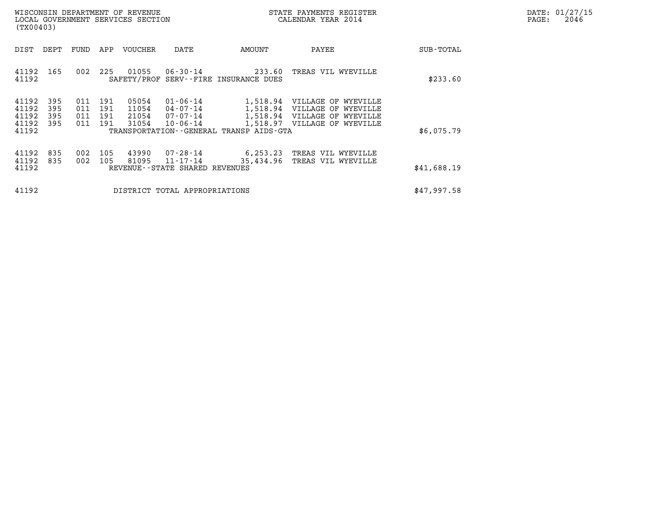| DATE: | 01/27/15 |
|-------|----------|
| PAGE: | 2046     |

| WISCONSIN DEPARTMENT OF REVENUE<br>LOCAL GOVERNMENT SERVICES SECTION<br>(TX00403) |                          |                                  |                          |                                  |                                                          |                       | STATE PAYMENTS REGISTER<br>CALENDAR YEAR 2014                                                   |                                                                             | DATE: 01/27/15<br>PAGE:<br>2046 |
|-----------------------------------------------------------------------------------|--------------------------|----------------------------------|--------------------------|----------------------------------|----------------------------------------------------------|-----------------------|-------------------------------------------------------------------------------------------------|-----------------------------------------------------------------------------|---------------------------------|
| DIST                                                                              | DEPT                     | FUND                             | APP                      | VOUCHER                          | DATE                                                     | AMOUNT                | PAYEE                                                                                           | SUB-TOTAL                                                                   |                                 |
| 41192                                                                             | 165                      | 002                              | 225                      | 01055                            | 06-30-14                                                 | 233.60                | TREAS VIL WYEVILLE                                                                              | \$233.60                                                                    |                                 |
| 41192<br>41192<br>41192<br>41192<br>41192                                         | 395<br>395<br>395<br>395 | 011<br>011<br>011<br>011         | 191<br>191<br>191<br>191 | 05054<br>11054<br>21054<br>31054 | $01 - 06 - 14$<br>04-07-14<br>07-07-14<br>$10 - 06 - 14$ | 1,518.97              | VILLAGE OF WYEVILLE<br>VILLAGE OF WYEVILLE<br>VILLAGE OF WYEVILLE<br>VILLAGE OF WYEVILLE        | \$6,075.79                                                                  |                                 |
|                                                                                   | 835<br>835               | 002<br>002                       | 105<br>105               | 43990<br>81095                   | 07-28-14<br>11-17-14                                     | 6,253.23<br>35,434.96 | TREAS VIL WYEVILLE<br>TREAS VIL WYEVILLE                                                        | \$41,688.19                                                                 |                                 |
| 41192                                                                             |                          |                                  |                          |                                  |                                                          | \$47,997.58           |                                                                                                 |                                                                             |                                 |
|                                                                                   |                          | 41192<br>41192<br>41192<br>41192 |                          |                                  |                                                          | SAFETY/PROF           | SERV--FIRE INSURANCE DUES<br>REVENUE - - STATE SHARED REVENUES<br>DISTRICT TOTAL APPROPRIATIONS | 1,518.94<br>1,518.94<br>1,518.94<br>TRANSPORTATION--GENERAL TRANSP AIDS-GTA |                                 |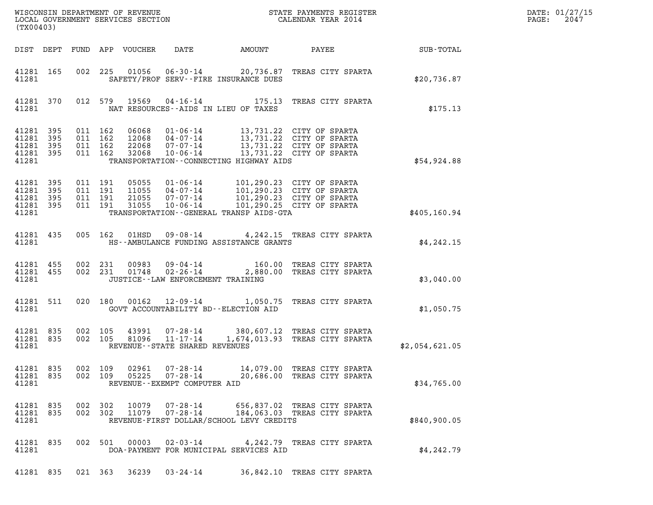| (TX00403)                                                                                                                                     |                                                                                                                                                                                                                     |                              | $R = \frac{1}{2}$ | DATE: 01/27/15<br>$\mathtt{PAGE:}$<br>2047 |
|-----------------------------------------------------------------------------------------------------------------------------------------------|---------------------------------------------------------------------------------------------------------------------------------------------------------------------------------------------------------------------|------------------------------|-------------------|--------------------------------------------|
| DIST DEPT FUND APP VOUCHER DATE AMOUNT PAYEE TO SUB-TOTAL                                                                                     |                                                                                                                                                                                                                     |                              |                   |                                            |
| 41281 165<br>41281                                                                                                                            | 002 225 01056 06-30-14 20,736.87 TREAS CITY SPARTA<br>SAFETY/PROF SERV--FIRE INSURANCE DUES                                                                                                                         |                              | \$20,736.87       |                                            |
| 41281 370<br>41281                                                                                                                            | 012 579 19569 04-16-14 175.13 TREAS CITY SPARTA<br>NAT RESOURCES -- AIDS IN LIEU OF TAXES                                                                                                                           |                              | \$175.13          |                                            |
| 41281 395<br>011 162<br>41281 395<br>011 162<br>41281 395<br>011 162<br>011 162<br>41281 395<br>41281                                         | 06068 01-06-14 13,731.22 CITY OF SPARTA<br>12068 04-07-14 13,731.22 CITY OF SPARTA<br>22068 07-07-14 13,731.22 CITY OF SPARTA<br>32068 10-06-14 13,731.22 CITY OF SPARTA<br>TRANSPORTATION--CONNECTING HIGHWAY AIDS |                              | \$54,924.88       |                                            |
| 41281 395<br>011 191<br>011 191<br>41281 395<br>41281 395<br>011 191<br>011 191<br>41281 395<br>41281 TRANSPORTATION--GENERAL TRANSP AIDS-GTA | 05055  01-06-14  101,290.23  CITY OF SPARTA<br>11055  04-07-14  101,290.23  CITY OF SPARTA<br>21055  07-07-14  101,290.23  CITY OF SPARTA<br>31055  10-06-14  101,290.25  CITY OF SPARTA                            |                              | \$405,160.94      |                                            |
| 41281 435 005 162 01HSD 09-08-14 4,242.15 TREAS CITY SPARTA<br>41281 HS--AMBULANCE FUNDING ASSISTANCE GRANTS                                  |                                                                                                                                                                                                                     |                              | \$4,242.15        |                                            |
| 41281 455<br>41281 455<br>41281                                                                                                               | 002 231 00983 09-04-14 160.00 TREAS CITY SPARTA<br>002 231 01748 02-26-14 2,880.00 TREAS CITY SPARTA<br>JUSTICE -- LAW ENFORCEMENT TRAINING                                                                         |                              | \$3,040.00        |                                            |
| 41281 511<br>41281                                                                                                                            | 020 180 00162 12-09-14 1,050.75 TREAS CITY SPARTA<br>GOVT ACCOUNTABILITY BD--ELECTION AID                                                                                                                           |                              | \$1,050.75        |                                            |
| 41281 835<br>41281 835<br>41281                                                                                                               | 002 105 43991 07-28-14 380,607.12 TREAS CITY SPARTA<br>002 105 81096 11-17-14 1,674,013.93 TREAS CITY SPARTA<br>REVENUE--STATE SHARED REVENUES                                                                      |                              | \$2,054,621.05    |                                            |
| 41281 835<br>002 109<br>02961<br>41281 835<br>002 109<br>05225<br>41281                                                                       | 07-28-14 14,079.00 TREAS CITY SPARTA<br>$07 - 28 - 14$<br>REVENUE--EXEMPT COMPUTER AID                                                                                                                              | 20,686.00 TREAS CITY SPARTA  | \$34,765.00       |                                            |
| 41281 835<br>002 302<br>10079<br>41281 835<br>002 302<br>11079<br>41281                                                                       | 07-28-14 656,837.02 TREAS CITY SPARTA<br>07-28-14<br>REVENUE-FIRST DOLLAR/SCHOOL LEVY CREDITS                                                                                                                       | 184,063.03 TREAS CITY SPARTA | \$840,900.05      |                                            |
| 41281 835<br>41281                                                                                                                            | 002 501 00003 02-03-14 4,242.79 TREAS CITY SPARTA<br>DOA-PAYMENT FOR MUNICIPAL SERVICES AID                                                                                                                         |                              | \$4,242.79        |                                            |
| 41281 835<br>021 363 36239                                                                                                                    | $03 - 24 - 14$                                                                                                                                                                                                      | 36,842.10 TREAS CITY SPARTA  |                   |                                            |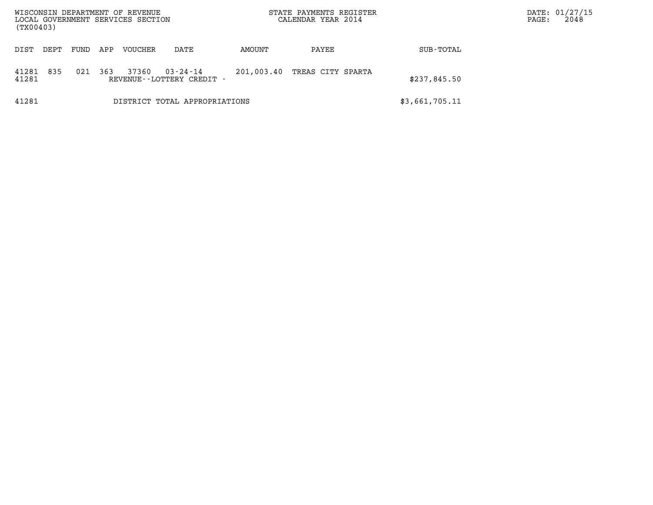| WISCONSIN DEPARTMENT OF REVENUE<br>LOCAL GOVERNMENT SERVICES SECTION<br>(TX00403) |      |     |         |                                       | STATE PAYMENTS REGISTER<br>CALENDAR YEAR 2014 |                   |                | DATE: 01/27/15<br>2048<br>PAGE: |
|-----------------------------------------------------------------------------------|------|-----|---------|---------------------------------------|-----------------------------------------------|-------------------|----------------|---------------------------------|
| DIST<br>DEPT                                                                      | FUND | APP | VOUCHER | DATE                                  | AMOUNT                                        | PAYEE             | SUB-TOTAL      |                                 |
| 835<br>41281<br>41281                                                             | 021  | 363 | 37360   | 03-24-14<br>REVENUE--LOTTERY CREDIT - | 201,003.40                                    | TREAS CITY SPARTA | \$237,845.50   |                                 |
| 41281                                                                             |      |     |         | DISTRICT TOTAL APPROPRIATIONS         |                                               |                   | \$3,661,705.11 |                                 |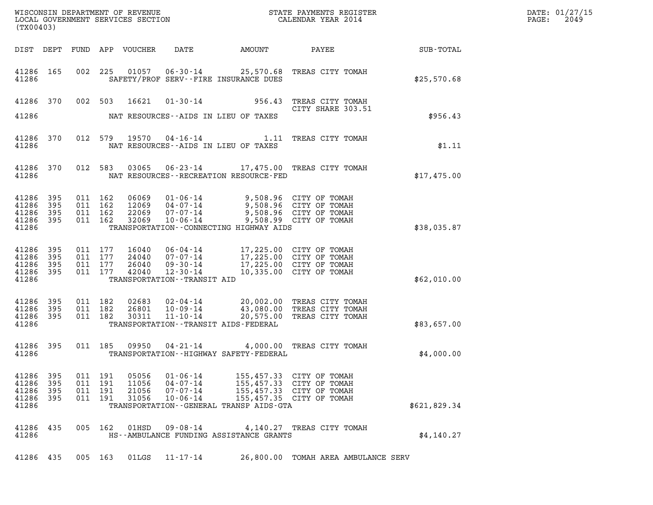| (TX00403)                                             |                       |                                          |                                  |                                                          |                                                                                                                                                                    |                                                                                                                                           |                      | DATE: 01/27/15<br>$\mathtt{PAGE:}$<br>2049 |
|-------------------------------------------------------|-----------------------|------------------------------------------|----------------------------------|----------------------------------------------------------|--------------------------------------------------------------------------------------------------------------------------------------------------------------------|-------------------------------------------------------------------------------------------------------------------------------------------|----------------------|--------------------------------------------|
|                                                       |                       |                                          | DIST DEPT FUND APP VOUCHER       | DATE                                                     | AMOUNT                                                                                                                                                             | <b>PAYEE</b>                                                                                                                              | $\texttt{SUB-TOTAL}$ |                                            |
| 41286 165<br>41286                                    |                       |                                          |                                  |                                                          | SAFETY/PROF SERV--FIRE INSURANCE DUES                                                                                                                              | 002 225 01057 06-30-14 25,570.68 TREAS CITY TOMAH                                                                                         | \$25,570.68          |                                            |
|                                                       |                       |                                          |                                  |                                                          |                                                                                                                                                                    | 41286 370 002 503 16621 01-30-14 956.43 TREAS CITY TOMAH<br>CITY SHARE 303.51                                                             |                      |                                            |
| 41286                                                 |                       |                                          |                                  |                                                          | NAT RESOURCES--AIDS IN LIEU OF TAXES                                                                                                                               |                                                                                                                                           | \$956.43             |                                            |
| 41286 370<br>41286                                    |                       |                                          |                                  |                                                          | NAT RESOURCES -- AIDS IN LIEU OF TAXES                                                                                                                             | 012 579 19570 04-16-14 1.11 TREAS CITY TOMAH                                                                                              | \$1.11               |                                            |
| 41286 370<br>41286                                    |                       |                                          |                                  |                                                          | NAT RESOURCES - - RECREATION RESOURCE - FED                                                                                                                        | 012 583 03065 06-23-14 17,475.00 TREAS CITY TOMAH                                                                                         | \$17,475.00          |                                            |
| 41286 395<br>41286 395<br>41286<br>41286 395<br>41286 | 395                   | 011 162<br>011 162<br>011 162<br>011 162 |                                  | 32069 10-06-14                                           | 06069 01-06-14 9,508.96 CITY OF TOMAH<br>12069 04-07-14 9,508.96 CITY OF TOMAH<br>22069 07-07-14 9,508.96 CITY OF TOMAH<br>TRANSPORTATION--CONNECTING HIGHWAY AIDS | 9,508.99 CITY OF TOMAH                                                                                                                    | \$38,035.87          |                                            |
| 41286 395<br>41286<br>41286 395<br>41286 395<br>41286 | 395                   | 011 177<br>011 177<br>011 177<br>011 177 | 16040                            | TRANSPORTATION - - TRANSIT AID                           | 06-04-14 17,225.00 CITY OF TOMAH<br>24040 07-07-14 17,225.00 CITY OF TOMAH<br>26040 09-30-14 17,225.00 CITY OF TOMAH<br>42040 12-30-14 10,335.00 CITY OF TOMAH     |                                                                                                                                           | \$62,010.00          |                                            |
| 41286 395<br>41286 395<br>41286 395<br>41286          |                       | 011 182<br>011 182<br>011 182            |                                  |                                                          | TRANSPORTATION - - TRANSIT AIDS - FEDERAL                                                                                                                          | 02683  02-04-14  20,002.00 TREAS CITY TOMAH<br>26801  10-09-14  43,080.00 TREAS CITY TOMAH<br>30311  11-10-14  20,575.00 TREAS CITY TOMAH | \$83,657.00          |                                            |
| 41286 395<br>41286                                    |                       |                                          |                                  |                                                          | TRANSPORTATION - - HIGHWAY SAFETY - FEDERAL                                                                                                                        | 011 185 09950 04-21-14 4,000.00 TREAS CITY TOMAH                                                                                          | \$4,000.00           |                                            |
| 41286 395<br>41286<br>41286<br>41286<br>41286         | 395<br>- 395<br>- 395 | 011 191<br>011 191<br>011 191<br>011 191 | 05056<br>11056<br>21056<br>31056 | 01-06-14<br>04-07-14<br>$07 - 07 - 14$<br>$10 - 06 - 14$ | TRANSPORTATION--GENERAL TRANSP AIDS-GTA                                                                                                                            | 155,457.33 CITY OF TOMAH<br>155,457.33 CITY OF TOMAH<br>155,457,33 CITY OF TOMAH<br>155,457.35 CITY OF TOMAH                              | \$621,829.34         |                                            |
| 41286 435<br>41286                                    |                       | 005 162                                  | 01HSD                            | $09 - 08 - 14$                                           | HS--AMBULANCE FUNDING ASSISTANCE GRANTS                                                                                                                            | 4,140.27 TREAS CITY TOMAH                                                                                                                 | \$4,140.27           |                                            |
| 41286 435                                             |                       | 005 163                                  | 01LGS                            | 11-17-14                                                 |                                                                                                                                                                    | 26,800.00 TOMAH AREA AMBULANCE SERV                                                                                                       |                      |                                            |